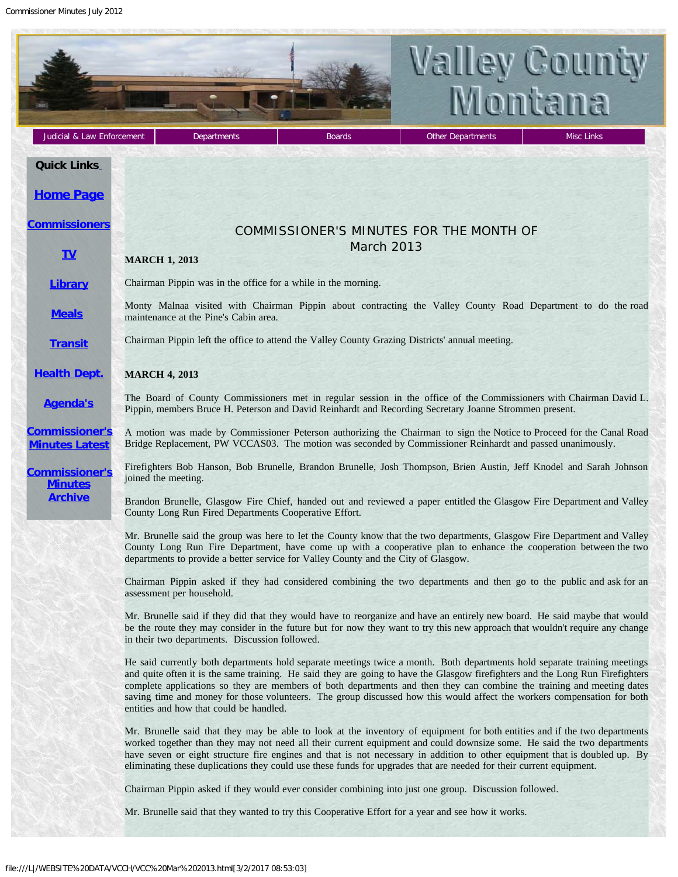Commissioner Minutes July 2012

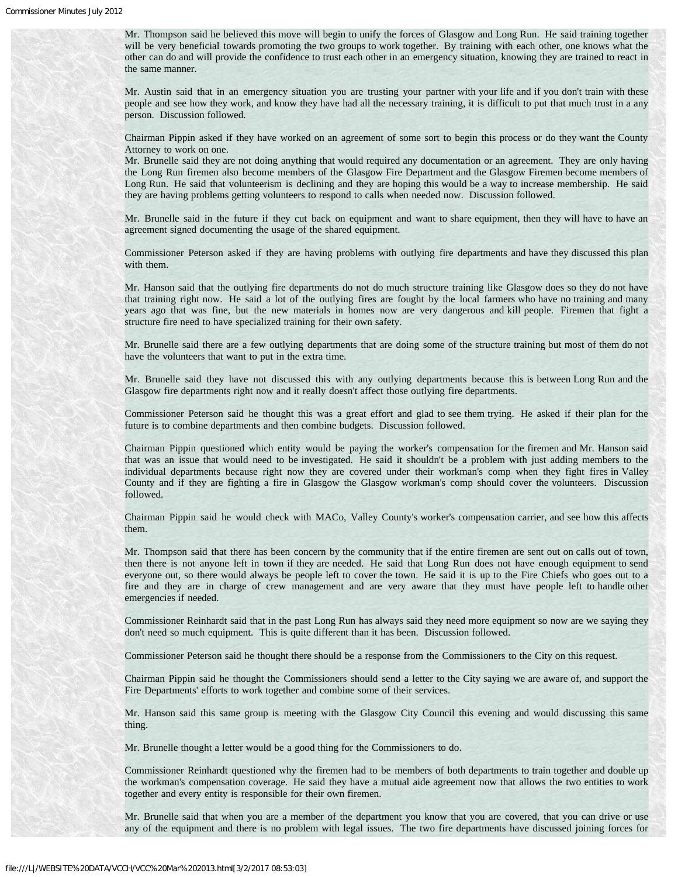Mr. Thompson said he believed this move will begin to unify the forces of Glasgow and Long Run. He said training together will be very beneficial towards promoting the two groups to work together. By training with each other, one knows what the other can do and will provide the confidence to trust each other in an emergency situation, knowing they are trained to react in the same manner.

Mr. Austin said that in an emergency situation you are trusting your partner with your life and if you don't train with these people and see how they work, and know they have had all the necessary training, it is difficult to put that much trust in a any person. Discussion followed.

Chairman Pippin asked if they have worked on an agreement of some sort to begin this process or do they want the County Attorney to work on one.

Mr. Brunelle said they are not doing anything that would required any documentation or an agreement. They are only having the Long Run firemen also become members of the Glasgow Fire Department and the Glasgow Firemen become members of Long Run. He said that volunteerism is declining and they are hoping this would be a way to increase membership. He said they are having problems getting volunteers to respond to calls when needed now. Discussion followed.

Mr. Brunelle said in the future if they cut back on equipment and want to share equipment, then they will have to have an agreement signed documenting the usage of the shared equipment.

Commissioner Peterson asked if they are having problems with outlying fire departments and have they discussed this plan with them.

Mr. Hanson said that the outlying fire departments do not do much structure training like Glasgow does so they do not have that training right now. He said a lot of the outlying fires are fought by the local farmers who have no training and many years ago that was fine, but the new materials in homes now are very dangerous and kill people. Firemen that fight a structure fire need to have specialized training for their own safety.

Mr. Brunelle said there are a few outlying departments that are doing some of the structure training but most of them do not have the volunteers that want to put in the extra time.

Mr. Brunelle said they have not discussed this with any outlying departments because this is between Long Run and the Glasgow fire departments right now and it really doesn't affect those outlying fire departments.

Commissioner Peterson said he thought this was a great effort and glad to see them trying. He asked if their plan for the future is to combine departments and then combine budgets. Discussion followed.

Chairman Pippin questioned which entity would be paying the worker's compensation for the firemen and Mr. Hanson said that was an issue that would need to be investigated. He said it shouldn't be a problem with just adding members to the individual departments because right now they are covered under their workman's comp when they fight fires in Valley County and if they are fighting a fire in Glasgow the Glasgow workman's comp should cover the volunteers. Discussion followed.

Chairman Pippin said he would check with MACo, Valley County's worker's compensation carrier, and see how this affects them.

Mr. Thompson said that there has been concern by the community that if the entire firemen are sent out on calls out of town, then there is not anyone left in town if they are needed. He said that Long Run does not have enough equipment to send everyone out, so there would always be people left to cover the town. He said it is up to the Fire Chiefs who goes out to a fire and they are in charge of crew management and are very aware that they must have people left to handle other emergencies if needed.

Commissioner Reinhardt said that in the past Long Run has always said they need more equipment so now are we saying they don't need so much equipment. This is quite different than it has been. Discussion followed.

Commissioner Peterson said he thought there should be a response from the Commissioners to the City on this request.

Chairman Pippin said he thought the Commissioners should send a letter to the City saying we are aware of, and support the Fire Departments' efforts to work together and combine some of their services.

Mr. Hanson said this same group is meeting with the Glasgow City Council this evening and would discussing this same thing.

Mr. Brunelle thought a letter would be a good thing for the Commissioners to do.

Commissioner Reinhardt questioned why the firemen had to be members of both departments to train together and double up the workman's compensation coverage. He said they have a mutual aide agreement now that allows the two entities to work together and every entity is responsible for their own firemen.

Mr. Brunelle said that when you are a member of the department you know that you are covered, that you can drive or use any of the equipment and there is no problem with legal issues. The two fire departments have discussed joining forces for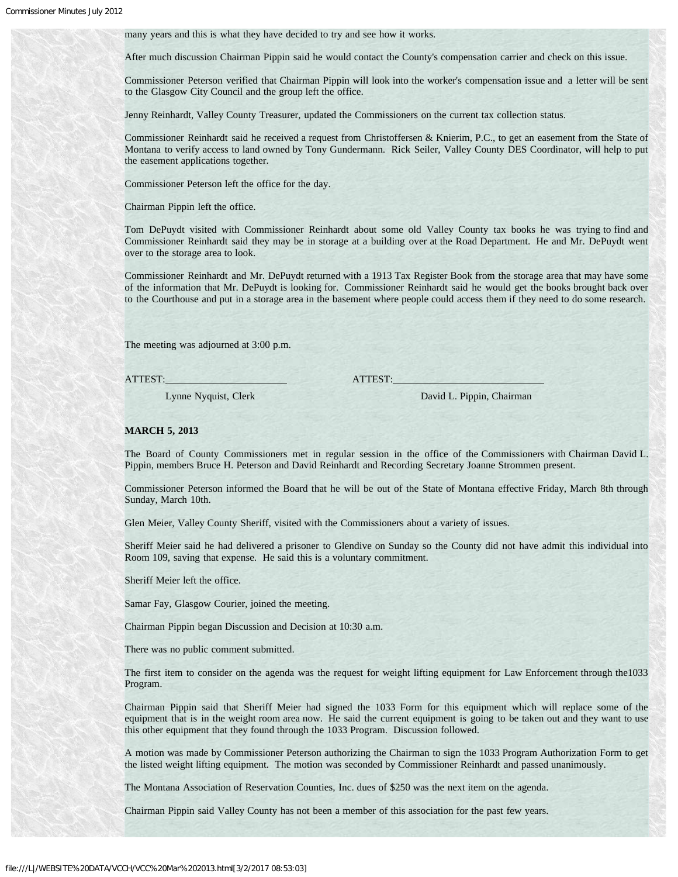many years and this is what they have decided to try and see how it works.

After much discussion Chairman Pippin said he would contact the County's compensation carrier and check on this issue.

Commissioner Peterson verified that Chairman Pippin will look into the worker's compensation issue and a letter will be sent to the Glasgow City Council and the group left the office.

Jenny Reinhardt, Valley County Treasurer, updated the Commissioners on the current tax collection status.

Commissioner Reinhardt said he received a request from Christoffersen & Knierim, P.C., to get an easement from the State of Montana to verify access to land owned by Tony Gundermann. Rick Seiler, Valley County DES Coordinator, will help to put the easement applications together.

Commissioner Peterson left the office for the day.

Chairman Pippin left the office.

Tom DePuydt visited with Commissioner Reinhardt about some old Valley County tax books he was trying to find and Commissioner Reinhardt said they may be in storage at a building over at the Road Department. He and Mr. DePuydt went over to the storage area to look.

Commissioner Reinhardt and Mr. DePuydt returned with a 1913 Tax Register Book from the storage area that may have some of the information that Mr. DePuydt is looking for. Commissioner Reinhardt said he would get the books brought back over to the Courthouse and put in a storage area in the basement where people could access them if they need to do some research.

The meeting was adjourned at 3:00 p.m.

ATTEST: ATTEST:

Lynne Nyquist, Clerk David L. Pippin, Chairman

## **MARCH 5, 2013**

The Board of County Commissioners met in regular session in the office of the Commissioners with Chairman David L. Pippin, members Bruce H. Peterson and David Reinhardt and Recording Secretary Joanne Strommen present.

Commissioner Peterson informed the Board that he will be out of the State of Montana effective Friday, March 8th through Sunday, March 10th.

Glen Meier, Valley County Sheriff, visited with the Commissioners about a variety of issues.

Sheriff Meier said he had delivered a prisoner to Glendive on Sunday so the County did not have admit this individual into Room 109, saving that expense. He said this is a voluntary commitment.

Sheriff Meier left the office.

Samar Fay, Glasgow Courier, joined the meeting.

Chairman Pippin began Discussion and Decision at 10:30 a.m.

There was no public comment submitted.

The first item to consider on the agenda was the request for weight lifting equipment for Law Enforcement through the1033 Program.

Chairman Pippin said that Sheriff Meier had signed the 1033 Form for this equipment which will replace some of the equipment that is in the weight room area now. He said the current equipment is going to be taken out and they want to use this other equipment that they found through the 1033 Program. Discussion followed.

A motion was made by Commissioner Peterson authorizing the Chairman to sign the 1033 Program Authorization Form to get the listed weight lifting equipment. The motion was seconded by Commissioner Reinhardt and passed unanimously.

The Montana Association of Reservation Counties, Inc. dues of \$250 was the next item on the agenda.

Chairman Pippin said Valley County has not been a member of this association for the past few years.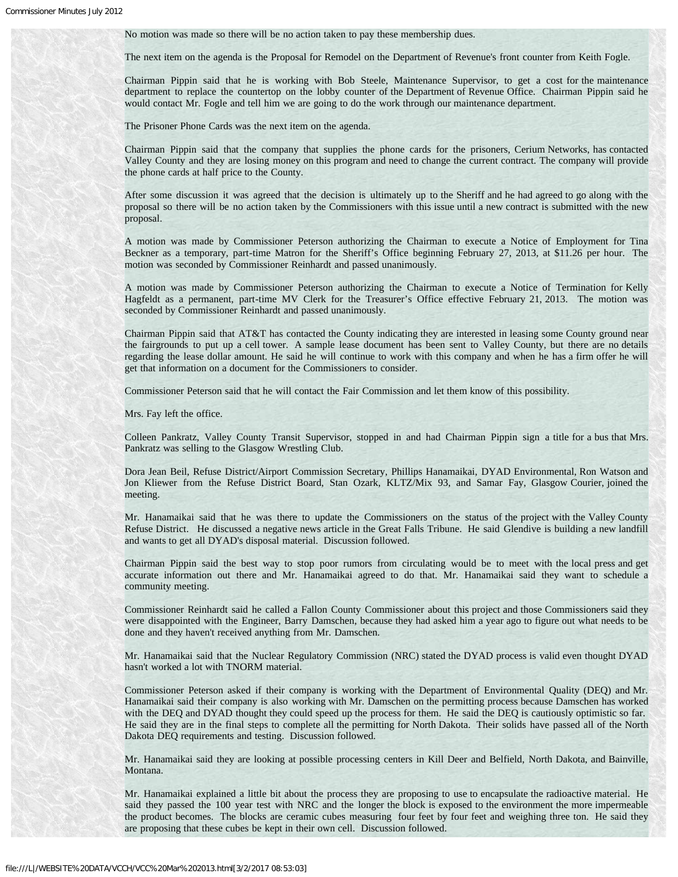No motion was made so there will be no action taken to pay these membership dues.

The next item on the agenda is the Proposal for Remodel on the Department of Revenue's front counter from Keith Fogle.

Chairman Pippin said that he is working with Bob Steele, Maintenance Supervisor, to get a cost for the maintenance department to replace the countertop on the lobby counter of the Department of Revenue Office. Chairman Pippin said he would contact Mr. Fogle and tell him we are going to do the work through our maintenance department.

The Prisoner Phone Cards was the next item on the agenda.

Chairman Pippin said that the company that supplies the phone cards for the prisoners, Cerium Networks, has contacted Valley County and they are losing money on this program and need to change the current contract. The company will provide the phone cards at half price to the County.

After some discussion it was agreed that the decision is ultimately up to the Sheriff and he had agreed to go along with the proposal so there will be no action taken by the Commissioners with this issue until a new contract is submitted with the new proposal.

A motion was made by Commissioner Peterson authorizing the Chairman to execute a Notice of Employment for Tina Beckner as a temporary, part-time Matron for the Sheriff's Office beginning February 27, 2013, at \$11.26 per hour. The motion was seconded by Commissioner Reinhardt and passed unanimously.

A motion was made by Commissioner Peterson authorizing the Chairman to execute a Notice of Termination for Kelly Hagfeldt as a permanent, part-time MV Clerk for the Treasurer's Office effective February 21, 2013. The motion was seconded by Commissioner Reinhardt and passed unanimously.

Chairman Pippin said that AT&T has contacted the County indicating they are interested in leasing some County ground near the fairgrounds to put up a cell tower. A sample lease document has been sent to Valley County, but there are no details regarding the lease dollar amount. He said he will continue to work with this company and when he has a firm offer he will get that information on a document for the Commissioners to consider.

Commissioner Peterson said that he will contact the Fair Commission and let them know of this possibility.

Mrs. Fay left the office.

Colleen Pankratz, Valley County Transit Supervisor, stopped in and had Chairman Pippin sign a title for a bus that Mrs. Pankratz was selling to the Glasgow Wrestling Club.

Dora Jean Beil, Refuse District/Airport Commission Secretary, Phillips Hanamaikai, DYAD Environmental, Ron Watson and Jon Kliewer from the Refuse District Board, Stan Ozark, KLTZ/Mix 93, and Samar Fay, Glasgow Courier, joined the meeting.

Mr. Hanamaikai said that he was there to update the Commissioners on the status of the project with the Valley County Refuse District. He discussed a negative news article in the Great Falls Tribune. He said Glendive is building a new landfill and wants to get all DYAD's disposal material. Discussion followed.

Chairman Pippin said the best way to stop poor rumors from circulating would be to meet with the local press and get accurate information out there and Mr. Hanamaikai agreed to do that. Mr. Hanamaikai said they want to schedule a community meeting.

Commissioner Reinhardt said he called a Fallon County Commissioner about this project and those Commissioners said they were disappointed with the Engineer, Barry Damschen, because they had asked him a year ago to figure out what needs to be done and they haven't received anything from Mr. Damschen.

Mr. Hanamaikai said that the Nuclear Regulatory Commission (NRC) stated the DYAD process is valid even thought DYAD hasn't worked a lot with TNORM material.

Commissioner Peterson asked if their company is working with the Department of Environmental Quality (DEQ) and Mr. Hanamaikai said their company is also working with Mr. Damschen on the permitting process because Damschen has worked with the DEQ and DYAD thought they could speed up the process for them. He said the DEQ is cautiously optimistic so far. He said they are in the final steps to complete all the permitting for North Dakota. Their solids have passed all of the North Dakota DEQ requirements and testing. Discussion followed.

Mr. Hanamaikai said they are looking at possible processing centers in Kill Deer and Belfield, North Dakota, and Bainville, Montana.

Mr. Hanamaikai explained a little bit about the process they are proposing to use to encapsulate the radioactive material. He said they passed the 100 year test with NRC and the longer the block is exposed to the environment the more impermeable the product becomes. The blocks are ceramic cubes measuring four feet by four feet and weighing three ton. He said they are proposing that these cubes be kept in their own cell. Discussion followed.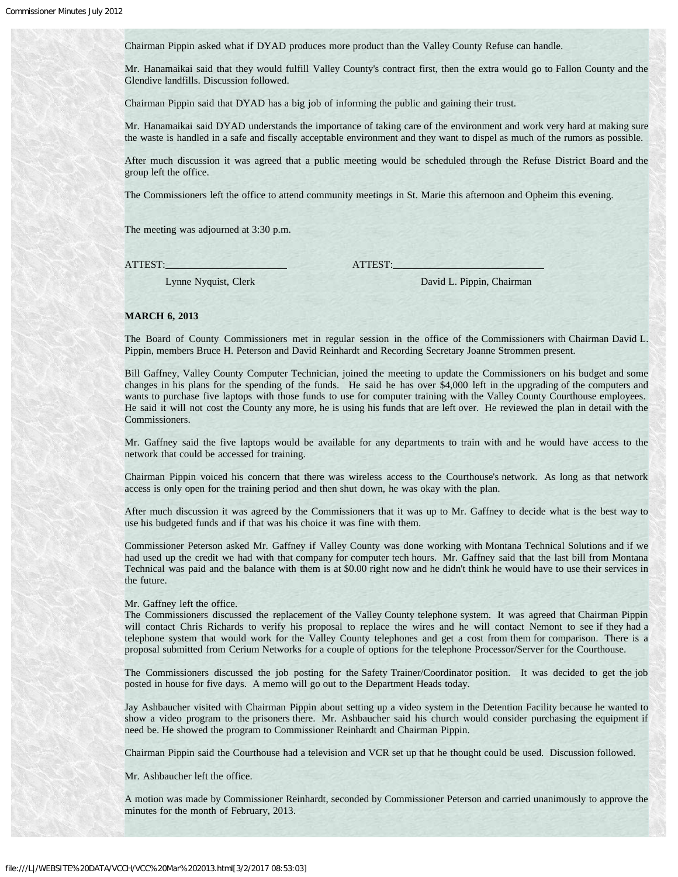Chairman Pippin asked what if DYAD produces more product than the Valley County Refuse can handle.

Mr. Hanamaikai said that they would fulfill Valley County's contract first, then the extra would go to Fallon County and the Glendive landfills. Discussion followed.

Chairman Pippin said that DYAD has a big job of informing the public and gaining their trust.

Mr. Hanamaikai said DYAD understands the importance of taking care of the environment and work very hard at making sure the waste is handled in a safe and fiscally acceptable environment and they want to dispel as much of the rumors as possible.

After much discussion it was agreed that a public meeting would be scheduled through the Refuse District Board and the group left the office.

The Commissioners left the office to attend community meetings in St. Marie this afternoon and Opheim this evening.

The meeting was adjourned at 3:30 p.m.

ATTEST: ATTEST:

Lynne Nyquist, Clerk David L. Pippin, Chairman

## **MARCH 6, 2013**

The Board of County Commissioners met in regular session in the office of the Commissioners with Chairman David L. Pippin, members Bruce H. Peterson and David Reinhardt and Recording Secretary Joanne Strommen present.

Bill Gaffney, Valley County Computer Technician, joined the meeting to update the Commissioners on his budget and some changes in his plans for the spending of the funds. He said he has over \$4,000 left in the upgrading of the computers and wants to purchase five laptops with those funds to use for computer training with the Valley County Courthouse employees. He said it will not cost the County any more, he is using his funds that are left over. He reviewed the plan in detail with the Commissioners.

Mr. Gaffney said the five laptops would be available for any departments to train with and he would have access to the network that could be accessed for training.

Chairman Pippin voiced his concern that there was wireless access to the Courthouse's network. As long as that network access is only open for the training period and then shut down, he was okay with the plan.

After much discussion it was agreed by the Commissioners that it was up to Mr. Gaffney to decide what is the best way to use his budgeted funds and if that was his choice it was fine with them.

Commissioner Peterson asked Mr. Gaffney if Valley County was done working with Montana Technical Solutions and if we had used up the credit we had with that company for computer tech hours. Mr. Gaffney said that the last bill from Montana Technical was paid and the balance with them is at \$0.00 right now and he didn't think he would have to use their services in the future.

Mr. Gaffney left the office.

The Commissioners discussed the replacement of the Valley County telephone system. It was agreed that Chairman Pippin will contact Chris Richards to verify his proposal to replace the wires and he will contact Nemont to see if they had a telephone system that would work for the Valley County telephones and get a cost from them for comparison. There is a proposal submitted from Cerium Networks for a couple of options for the telephone Processor/Server for the Courthouse.

The Commissioners discussed the job posting for the Safety Trainer/Coordinator position. It was decided to get the job posted in house for five days. A memo will go out to the Department Heads today.

Jay Ashbaucher visited with Chairman Pippin about setting up a video system in the Detention Facility because he wanted to show a video program to the prisoners there. Mr. Ashbaucher said his church would consider purchasing the equipment if need be. He showed the program to Commissioner Reinhardt and Chairman Pippin.

Chairman Pippin said the Courthouse had a television and VCR set up that he thought could be used. Discussion followed.

Mr. Ashbaucher left the office.

A motion was made by Commissioner Reinhardt, seconded by Commissioner Peterson and carried unanimously to approve the minutes for the month of February, 2013.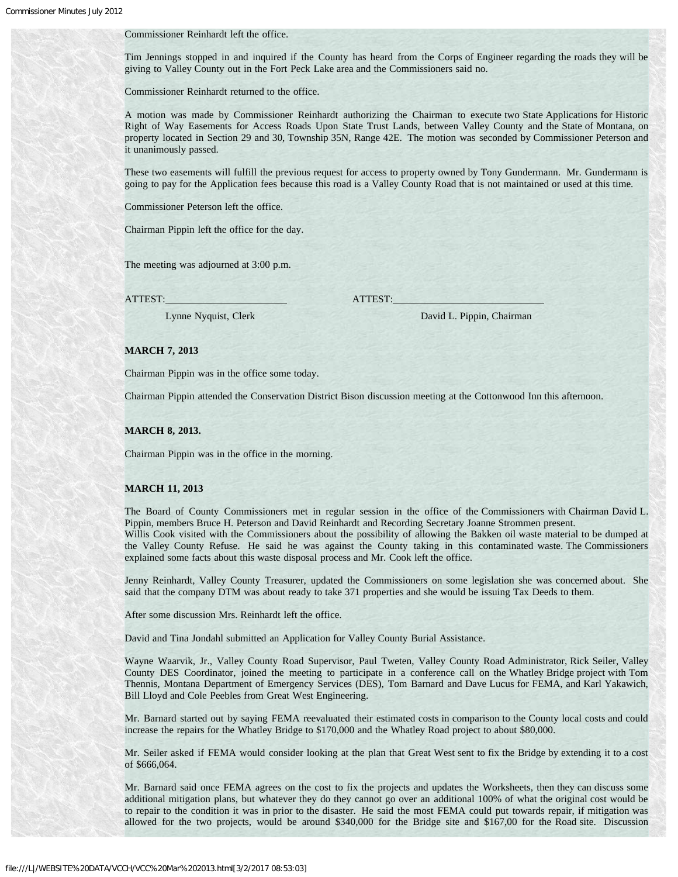#### Commissioner Reinhardt left the office.

Tim Jennings stopped in and inquired if the County has heard from the Corps of Engineer regarding the roads they will be giving to Valley County out in the Fort Peck Lake area and the Commissioners said no.

Commissioner Reinhardt returned to the office.

A motion was made by Commissioner Reinhardt authorizing the Chairman to execute two State Applications for Historic Right of Way Easements for Access Roads Upon State Trust Lands, between Valley County and the State of Montana, on property located in Section 29 and 30, Township 35N, Range 42E. The motion was seconded by Commissioner Peterson and it unanimously passed.

These two easements will fulfill the previous request for access to property owned by Tony Gundermann. Mr. Gundermann is going to pay for the Application fees because this road is a Valley County Road that is not maintained or used at this time.

Commissioner Peterson left the office.

Chairman Pippin left the office for the day.

The meeting was adjourned at 3:00 p.m.

ATTEST: ATTEST:

Lynne Nyquist, Clerk David L. Pippin, Chairman

#### **MARCH 7, 2013**

Chairman Pippin was in the office some today.

Chairman Pippin attended the Conservation District Bison discussion meeting at the Cottonwood Inn this afternoon.

## **MARCH 8, 2013.**

Chairman Pippin was in the office in the morning.

#### **MARCH 11, 2013**

The Board of County Commissioners met in regular session in the office of the Commissioners with Chairman David L. Pippin, members Bruce H. Peterson and David Reinhardt and Recording Secretary Joanne Strommen present. Willis Cook visited with the Commissioners about the possibility of allowing the Bakken oil waste material to be dumped at the Valley County Refuse. He said he was against the County taking in this contaminated waste. The Commissioners explained some facts about this waste disposal process and Mr. Cook left the office.

Jenny Reinhardt, Valley County Treasurer, updated the Commissioners on some legislation she was concerned about. She said that the company DTM was about ready to take 371 properties and she would be issuing Tax Deeds to them.

After some discussion Mrs. Reinhardt left the office.

David and Tina Jondahl submitted an Application for Valley County Burial Assistance.

Wayne Waarvik, Jr., Valley County Road Supervisor, Paul Tweten, Valley County Road Administrator, Rick Seiler, Valley County DES Coordinator, joined the meeting to participate in a conference call on the Whatley Bridge project with Tom Thennis, Montana Department of Emergency Services (DES), Tom Barnard and Dave Lucus for FEMA, and Karl Yakawich, Bill Lloyd and Cole Peebles from Great West Engineering.

Mr. Barnard started out by saying FEMA reevaluated their estimated costs in comparison to the County local costs and could increase the repairs for the Whatley Bridge to \$170,000 and the Whatley Road project to about \$80,000.

Mr. Seiler asked if FEMA would consider looking at the plan that Great West sent to fix the Bridge by extending it to a cost of \$666,064.

Mr. Barnard said once FEMA agrees on the cost to fix the projects and updates the Worksheets, then they can discuss some additional mitigation plans, but whatever they do they cannot go over an additional 100% of what the original cost would be to repair to the condition it was in prior to the disaster. He said the most FEMA could put towards repair, if mitigation was allowed for the two projects, would be around \$340,000 for the Bridge site and \$167,00 for the Road site. Discussion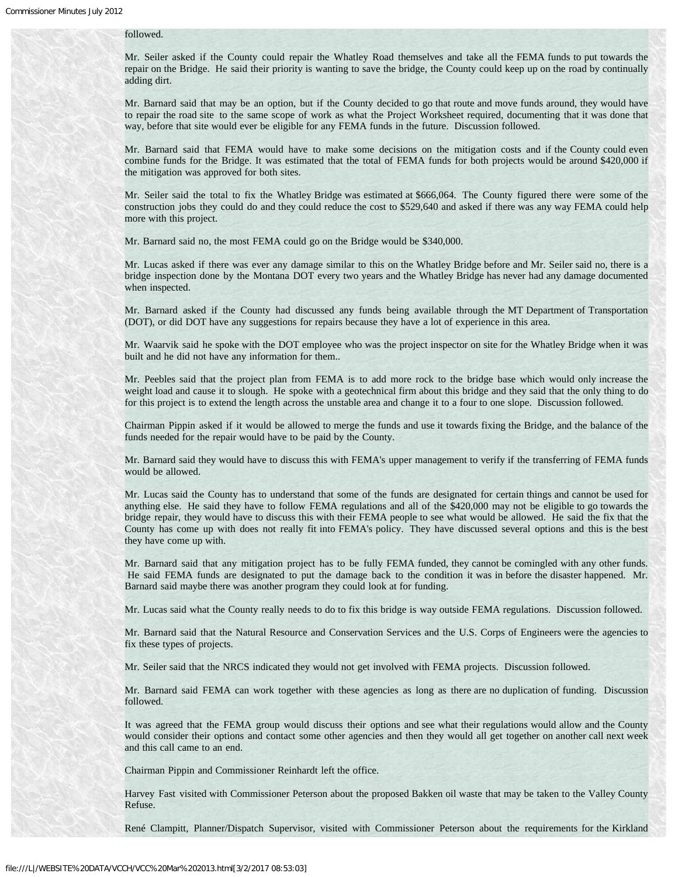## followed.

Mr. Seiler asked if the County could repair the Whatley Road themselves and take all the FEMA funds to put towards the repair on the Bridge. He said their priority is wanting to save the bridge, the County could keep up on the road by continually adding dirt.

Mr. Barnard said that may be an option, but if the County decided to go that route and move funds around, they would have to repair the road site to the same scope of work as what the Project Worksheet required, documenting that it was done that way, before that site would ever be eligible for any FEMA funds in the future. Discussion followed.

Mr. Barnard said that FEMA would have to make some decisions on the mitigation costs and if the County could even combine funds for the Bridge. It was estimated that the total of FEMA funds for both projects would be around \$420,000 if the mitigation was approved for both sites.

Mr. Seiler said the total to fix the Whatley Bridge was estimated at \$666,064. The County figured there were some of the construction jobs they could do and they could reduce the cost to \$529,640 and asked if there was any way FEMA could help more with this project.

Mr. Barnard said no, the most FEMA could go on the Bridge would be \$340,000.

Mr. Lucas asked if there was ever any damage similar to this on the Whatley Bridge before and Mr. Seiler said no, there is a bridge inspection done by the Montana DOT every two years and the Whatley Bridge has never had any damage documented when inspected.

Mr. Barnard asked if the County had discussed any funds being available through the MT Department of Transportation (DOT), or did DOT have any suggestions for repairs because they have a lot of experience in this area.

Mr. Waarvik said he spoke with the DOT employee who was the project inspector on site for the Whatley Bridge when it was built and he did not have any information for them..

Mr. Peebles said that the project plan from FEMA is to add more rock to the bridge base which would only increase the weight load and cause it to slough. He spoke with a geotechnical firm about this bridge and they said that the only thing to do for this project is to extend the length across the unstable area and change it to a four to one slope. Discussion followed.

Chairman Pippin asked if it would be allowed to merge the funds and use it towards fixing the Bridge, and the balance of the funds needed for the repair would have to be paid by the County.

Mr. Barnard said they would have to discuss this with FEMA's upper management to verify if the transferring of FEMA funds would be allowed.

Mr. Lucas said the County has to understand that some of the funds are designated for certain things and cannot be used for anything else. He said they have to follow FEMA regulations and all of the \$420,000 may not be eligible to go towards the bridge repair, they would have to discuss this with their FEMA people to see what would be allowed. He said the fix that the County has come up with does not really fit into FEMA's policy. They have discussed several options and this is the best they have come up with.

Mr. Barnard said that any mitigation project has to be fully FEMA funded, they cannot be comingled with any other funds. He said FEMA funds are designated to put the damage back to the condition it was in before the disaster happened. Mr. Barnard said maybe there was another program they could look at for funding.

Mr. Lucas said what the County really needs to do to fix this bridge is way outside FEMA regulations. Discussion followed.

Mr. Barnard said that the Natural Resource and Conservation Services and the U.S. Corps of Engineers were the agencies to fix these types of projects.

Mr. Seiler said that the NRCS indicated they would not get involved with FEMA projects. Discussion followed.

Mr. Barnard said FEMA can work together with these agencies as long as there are no duplication of funding. Discussion followed.

It was agreed that the FEMA group would discuss their options and see what their regulations would allow and the County would consider their options and contact some other agencies and then they would all get together on another call next week and this call came to an end.

Chairman Pippin and Commissioner Reinhardt left the office.

Harvey Fast visited with Commissioner Peterson about the proposed Bakken oil waste that may be taken to the Valley County Refuse.

René Clampitt, Planner/Dispatch Supervisor, visited with Commissioner Peterson about the requirements for the Kirkland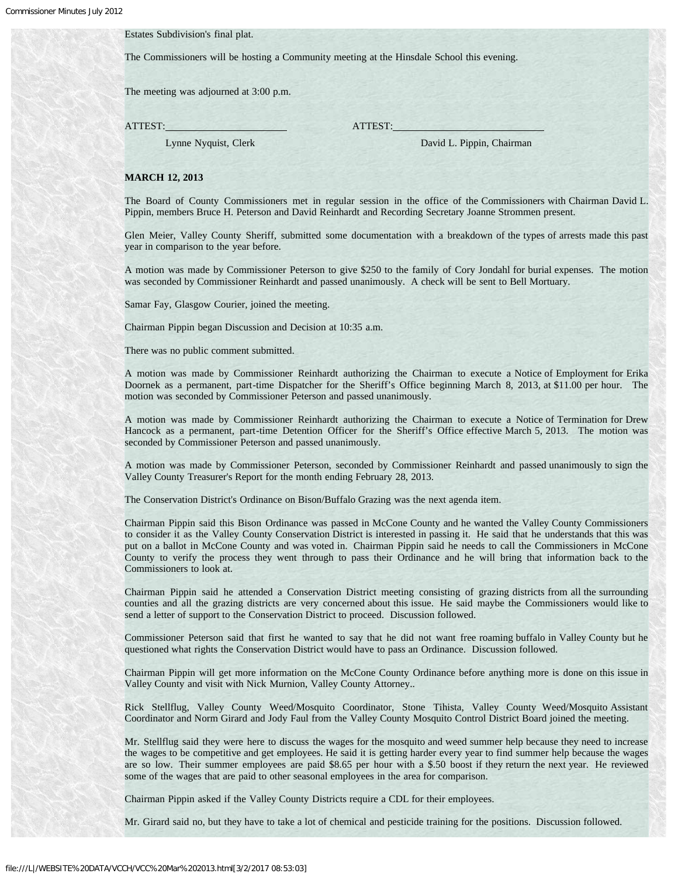## Estates Subdivision's final plat.

The Commissioners will be hosting a Community meeting at the Hinsdale School this evening.

The meeting was adjourned at 3:00 p.m.

ATTEST: ATTEST:

Lynne Nyquist, Clerk David L. Pippin, Chairman

#### **MARCH 12, 2013**

The Board of County Commissioners met in regular session in the office of the Commissioners with Chairman David L. Pippin, members Bruce H. Peterson and David Reinhardt and Recording Secretary Joanne Strommen present.

Glen Meier, Valley County Sheriff, submitted some documentation with a breakdown of the types of arrests made this past year in comparison to the year before.

A motion was made by Commissioner Peterson to give \$250 to the family of Cory Jondahl for burial expenses. The motion was seconded by Commissioner Reinhardt and passed unanimously. A check will be sent to Bell Mortuary.

Samar Fay, Glasgow Courier, joined the meeting.

Chairman Pippin began Discussion and Decision at 10:35 a.m.

There was no public comment submitted.

A motion was made by Commissioner Reinhardt authorizing the Chairman to execute a Notice of Employment for Erika Doornek as a permanent, part-time Dispatcher for the Sheriff's Office beginning March 8, 2013, at \$11.00 per hour. The motion was seconded by Commissioner Peterson and passed unanimously.

A motion was made by Commissioner Reinhardt authorizing the Chairman to execute a Notice of Termination for Drew Hancock as a permanent, part-time Detention Officer for the Sheriff's Office effective March 5, 2013. The motion was seconded by Commissioner Peterson and passed unanimously.

A motion was made by Commissioner Peterson, seconded by Commissioner Reinhardt and passed unanimously to sign the Valley County Treasurer's Report for the month ending February 28, 2013.

The Conservation District's Ordinance on Bison/Buffalo Grazing was the next agenda item.

Chairman Pippin said this Bison Ordinance was passed in McCone County and he wanted the Valley County Commissioners to consider it as the Valley County Conservation District is interested in passing it. He said that he understands that this was put on a ballot in McCone County and was voted in. Chairman Pippin said he needs to call the Commissioners in McCone County to verify the process they went through to pass their Ordinance and he will bring that information back to the Commissioners to look at.

Chairman Pippin said he attended a Conservation District meeting consisting of grazing districts from all the surrounding counties and all the grazing districts are very concerned about this issue. He said maybe the Commissioners would like to send a letter of support to the Conservation District to proceed. Discussion followed.

Commissioner Peterson said that first he wanted to say that he did not want free roaming buffalo in Valley County but he questioned what rights the Conservation District would have to pass an Ordinance. Discussion followed.

Chairman Pippin will get more information on the McCone County Ordinance before anything more is done on this issue in Valley County and visit with Nick Murnion, Valley County Attorney..

Rick Stellflug, Valley County Weed/Mosquito Coordinator, Stone Tihista, Valley County Weed/Mosquito Assistant Coordinator and Norm Girard and Jody Faul from the Valley County Mosquito Control District Board joined the meeting.

Mr. Stellflug said they were here to discuss the wages for the mosquito and weed summer help because they need to increase the wages to be competitive and get employees. He said it is getting harder every year to find summer help because the wages are so low. Their summer employees are paid \$8.65 per hour with a \$.50 boost if they return the next year. He reviewed some of the wages that are paid to other seasonal employees in the area for comparison.

Chairman Pippin asked if the Valley County Districts require a CDL for their employees.

Mr. Girard said no, but they have to take a lot of chemical and pesticide training for the positions. Discussion followed.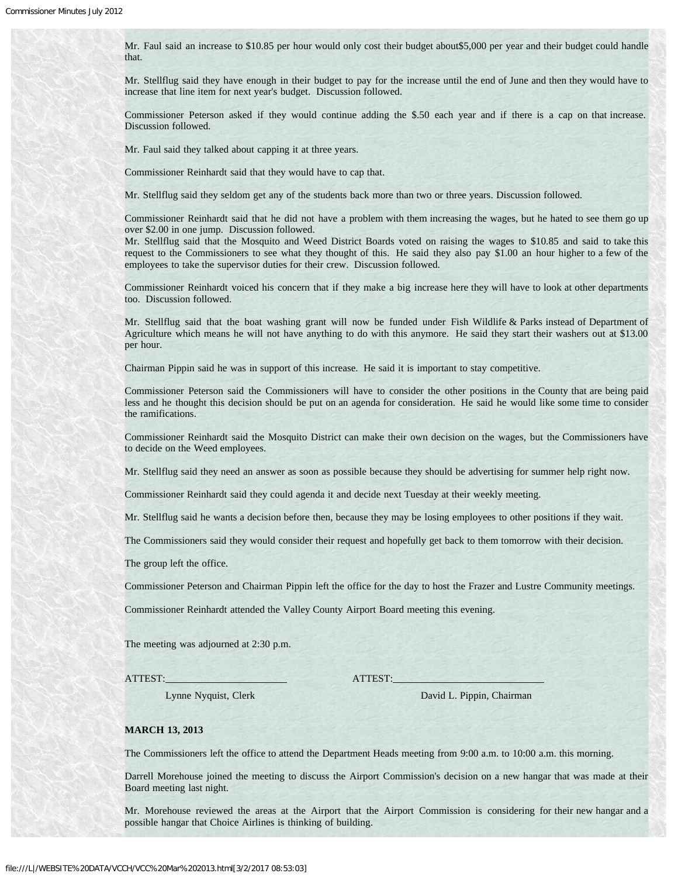Mr. Faul said an increase to \$10.85 per hour would only cost their budget about\$5,000 per year and their budget could handle that.

Mr. Stellflug said they have enough in their budget to pay for the increase until the end of June and then they would have to increase that line item for next year's budget. Discussion followed.

Commissioner Peterson asked if they would continue adding the \$.50 each year and if there is a cap on that increase. Discussion followed.

Mr. Faul said they talked about capping it at three years.

Commissioner Reinhardt said that they would have to cap that.

Mr. Stellflug said they seldom get any of the students back more than two or three years. Discussion followed.

Commissioner Reinhardt said that he did not have a problem with them increasing the wages, but he hated to see them go up over \$2.00 in one jump. Discussion followed.

Mr. Stellflug said that the Mosquito and Weed District Boards voted on raising the wages to \$10.85 and said to take this request to the Commissioners to see what they thought of this. He said they also pay \$1.00 an hour higher to a few of the employees to take the supervisor duties for their crew. Discussion followed.

Commissioner Reinhardt voiced his concern that if they make a big increase here they will have to look at other departments too. Discussion followed.

Mr. Stellflug said that the boat washing grant will now be funded under Fish Wildlife & Parks instead of Department of Agriculture which means he will not have anything to do with this anymore. He said they start their washers out at \$13.00 per hour.

Chairman Pippin said he was in support of this increase. He said it is important to stay competitive.

Commissioner Peterson said the Commissioners will have to consider the other positions in the County that are being paid less and he thought this decision should be put on an agenda for consideration. He said he would like some time to consider the ramifications.

Commissioner Reinhardt said the Mosquito District can make their own decision on the wages, but the Commissioners have to decide on the Weed employees.

Mr. Stellflug said they need an answer as soon as possible because they should be advertising for summer help right now.

Commissioner Reinhardt said they could agenda it and decide next Tuesday at their weekly meeting.

Mr. Stellflug said he wants a decision before then, because they may be losing employees to other positions if they wait.

The Commissioners said they would consider their request and hopefully get back to them tomorrow with their decision.

The group left the office.

Commissioner Peterson and Chairman Pippin left the office for the day to host the Frazer and Lustre Community meetings.

Commissioner Reinhardt attended the Valley County Airport Board meeting this evening.

The meeting was adjourned at 2:30 p.m.

ATTEST: ATTEST:

Lynne Nyquist, Clerk David L. Pippin, Chairman

#### **MARCH 13, 2013**

The Commissioners left the office to attend the Department Heads meeting from 9:00 a.m. to 10:00 a.m. this morning.

Darrell Morehouse joined the meeting to discuss the Airport Commission's decision on a new hangar that was made at their Board meeting last night.

Mr. Morehouse reviewed the areas at the Airport that the Airport Commission is considering for their new hangar and a possible hangar that Choice Airlines is thinking of building.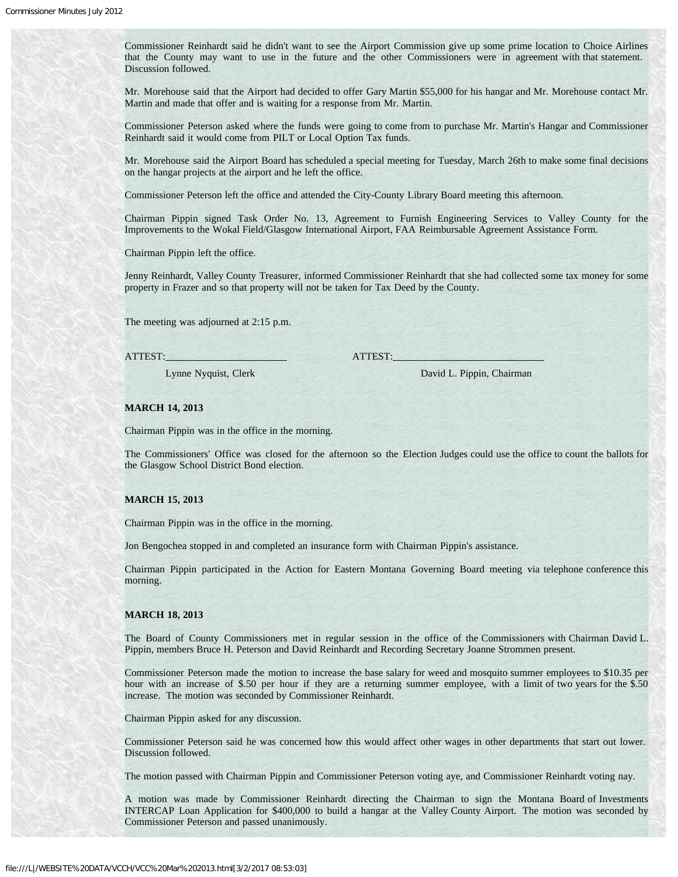Commissioner Reinhardt said he didn't want to see the Airport Commission give up some prime location to Choice Airlines that the County may want to use in the future and the other Commissioners were in agreement with that statement. Discussion followed.

Mr. Morehouse said that the Airport had decided to offer Gary Martin \$55,000 for his hangar and Mr. Morehouse contact Mr. Martin and made that offer and is waiting for a response from Mr. Martin.

Commissioner Peterson asked where the funds were going to come from to purchase Mr. Martin's Hangar and Commissioner Reinhardt said it would come from PILT or Local Option Tax funds.

Mr. Morehouse said the Airport Board has scheduled a special meeting for Tuesday, March 26th to make some final decisions on the hangar projects at the airport and he left the office.

Commissioner Peterson left the office and attended the City-County Library Board meeting this afternoon.

Chairman Pippin signed Task Order No. 13, Agreement to Furnish Engineering Services to Valley County for the Improvements to the Wokal Field/Glasgow International Airport, FAA Reimbursable Agreement Assistance Form.

Chairman Pippin left the office.

Jenny Reinhardt, Valley County Treasurer, informed Commissioner Reinhardt that she had collected some tax money for some property in Frazer and so that property will not be taken for Tax Deed by the County.

The meeting was adjourned at 2:15 p.m.

ATTEST: ATTEST:

Lynne Nyquist, Clerk David L. Pippin, Chairman

## **MARCH 14, 2013**

Chairman Pippin was in the office in the morning.

The Commissioners' Office was closed for the afternoon so the Election Judges could use the office to count the ballots for the Glasgow School District Bond election.

## **MARCH 15, 2013**

Chairman Pippin was in the office in the morning.

Jon Bengochea stopped in and completed an insurance form with Chairman Pippin's assistance.

Chairman Pippin participated in the Action for Eastern Montana Governing Board meeting via telephone conference this morning.

#### **MARCH 18, 2013**

The Board of County Commissioners met in regular session in the office of the Commissioners with Chairman David L. Pippin, members Bruce H. Peterson and David Reinhardt and Recording Secretary Joanne Strommen present.

Commissioner Peterson made the motion to increase the base salary for weed and mosquito summer employees to \$10.35 per hour with an increase of \$.50 per hour if they are a returning summer employee, with a limit of two years for the \$.50 increase. The motion was seconded by Commissioner Reinhardt.

Chairman Pippin asked for any discussion.

Commissioner Peterson said he was concerned how this would affect other wages in other departments that start out lower. Discussion followed.

The motion passed with Chairman Pippin and Commissioner Peterson voting aye, and Commissioner Reinhardt voting nay.

A motion was made by Commissioner Reinhardt directing the Chairman to sign the Montana Board of Investments INTERCAP Loan Application for \$400,000 to build a hangar at the Valley County Airport. The motion was seconded by Commissioner Peterson and passed unanimously.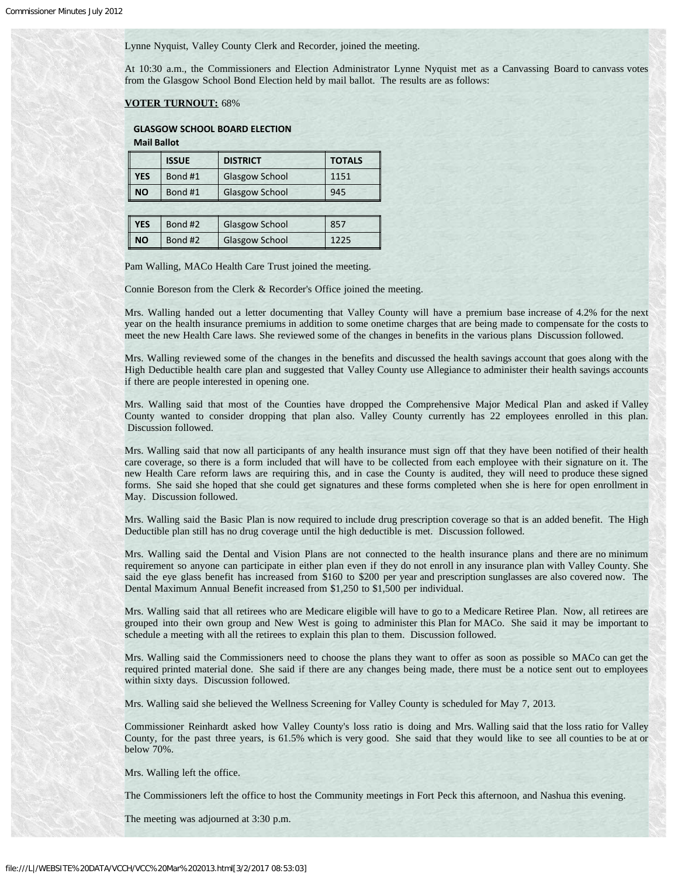Lynne Nyquist, Valley County Clerk and Recorder, joined the meeting.

At 10:30 a.m., the Commissioners and Election Administrator Lynne Nyquist met as a Canvassing Board to canvass votes from the Glasgow School Bond Election held by mail ballot. The results are as follows:

## **VOTER TURNOUT:** 68%

# **GLASGOW SCHOOL BOARD ELECTION**

**Mail Ballot**

|            | <b>ISSUE</b> | <b>DISTRICT</b>       | <b>TOTALS</b> |
|------------|--------------|-----------------------|---------------|
| <b>YES</b> | Bond #1      | <b>Glasgow School</b> | 1151          |
| <b>NO</b>  | Bond #1      | <b>Glasgow School</b> | 945           |

| <b>YES</b> | Bond #2 | <b>Glasgow School</b> | 857  |
|------------|---------|-----------------------|------|
| $\ $ NO    | Bond #2 | <b>Glasgow School</b> | 1225 |

Pam Walling, MACo Health Care Trust joined the meeting.

Connie Boreson from the Clerk & Recorder's Office joined the meeting.

Mrs. Walling handed out a letter documenting that Valley County will have a premium base increase of 4.2% for the next year on the health insurance premiums in addition to some onetime charges that are being made to compensate for the costs to meet the new Health Care laws. She reviewed some of the changes in benefits in the various plans Discussion followed.

Mrs. Walling reviewed some of the changes in the benefits and discussed the health savings account that goes along with the High Deductible health care plan and suggested that Valley County use Allegiance to administer their health savings accounts if there are people interested in opening one.

Mrs. Walling said that most of the Counties have dropped the Comprehensive Major Medical Plan and asked if Valley County wanted to consider dropping that plan also. Valley County currently has 22 employees enrolled in this plan. Discussion followed.

Mrs. Walling said that now all participants of any health insurance must sign off that they have been notified of their health care coverage, so there is a form included that will have to be collected from each employee with their signature on it. The new Health Care reform laws are requiring this, and in case the County is audited, they will need to produce these signed forms. She said she hoped that she could get signatures and these forms completed when she is here for open enrollment in May. Discussion followed.

Mrs. Walling said the Basic Plan is now required to include drug prescription coverage so that is an added benefit. The High Deductible plan still has no drug coverage until the high deductible is met. Discussion followed.

Mrs. Walling said the Dental and Vision Plans are not connected to the health insurance plans and there are no minimum requirement so anyone can participate in either plan even if they do not enroll in any insurance plan with Valley County. She said the eye glass benefit has increased from \$160 to \$200 per year and prescription sunglasses are also covered now. The Dental Maximum Annual Benefit increased from \$1,250 to \$1,500 per individual.

Mrs. Walling said that all retirees who are Medicare eligible will have to go to a Medicare Retiree Plan. Now, all retirees are grouped into their own group and New West is going to administer this Plan for MACo. She said it may be important to schedule a meeting with all the retirees to explain this plan to them. Discussion followed.

Mrs. Walling said the Commissioners need to choose the plans they want to offer as soon as possible so MACo can get the required printed material done. She said if there are any changes being made, there must be a notice sent out to employees within sixty days. Discussion followed.

Mrs. Walling said she believed the Wellness Screening for Valley County is scheduled for May 7, 2013.

Commissioner Reinhardt asked how Valley County's loss ratio is doing and Mrs. Walling said that the loss ratio for Valley County, for the past three years, is 61.5% which is very good. She said that they would like to see all counties to be at or below 70%.

Mrs. Walling left the office.

The Commissioners left the office to host the Community meetings in Fort Peck this afternoon, and Nashua this evening.

The meeting was adjourned at 3:30 p.m.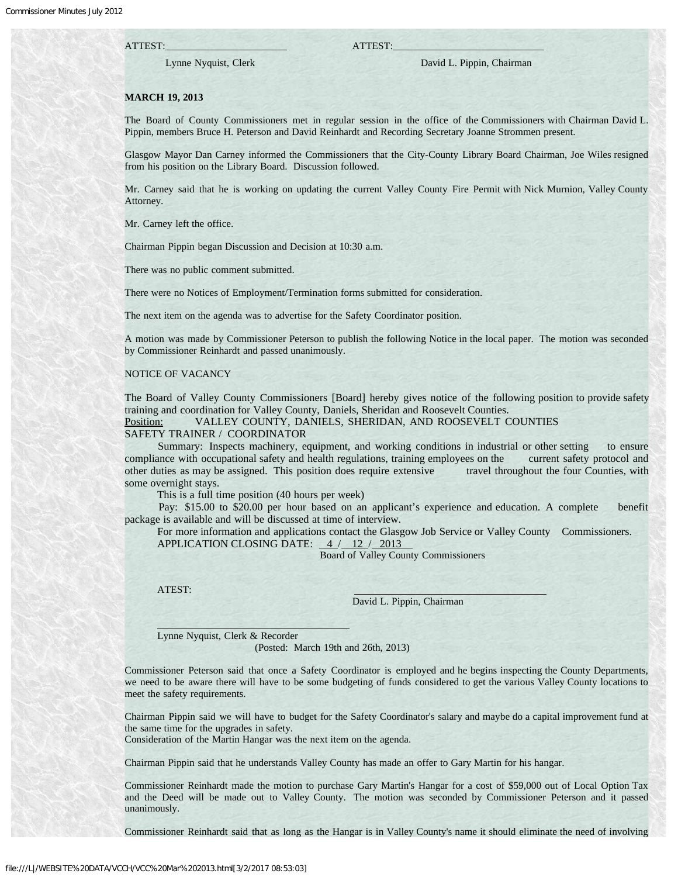## ATTEST: ATTEST:

Lynne Nyquist, Clerk David L. Pippin, Chairman

## **MARCH 19, 2013**

The Board of County Commissioners met in regular session in the office of the Commissioners with Chairman David L. Pippin, members Bruce H. Peterson and David Reinhardt and Recording Secretary Joanne Strommen present.

Glasgow Mayor Dan Carney informed the Commissioners that the City-County Library Board Chairman, Joe Wiles resigned from his position on the Library Board. Discussion followed.

Mr. Carney said that he is working on updating the current Valley County Fire Permit with Nick Murnion, Valley County Attorney.

Mr. Carney left the office.

Chairman Pippin began Discussion and Decision at 10:30 a.m.

There was no public comment submitted.

There were no Notices of Employment/Termination forms submitted for consideration.

The next item on the agenda was to advertise for the Safety Coordinator position.

A motion was made by Commissioner Peterson to publish the following Notice in the local paper. The motion was seconded by Commissioner Reinhardt and passed unanimously.

#### NOTICE OF VACANCY

The Board of Valley County Commissioners [Board] hereby gives notice of the following position to provide safety training and coordination for Valley County, Daniels, Sheridan and Roosevelt Counties.

Position: VALLEY COUNTY, DANIELS, SHERIDAN, AND ROOSEVELT COUNTIES

SAFETY TRAINER / COORDINATOR

 Summary: Inspects machinery, equipment, and working conditions in industrial or other setting to ensure compliance with occupational safety and health regulations, training employees on the current safety protocol and other duties as may be assigned. This position does require extensive travel throughout the four Counties, with some overnight stays.

This is a full time position (40 hours per week)

 Pay: \$15.00 to \$20.00 per hour based on an applicant's experience and education. A complete benefit package is available and will be discussed at time of interview.

 For more information and applications contact the Glasgow Job Service or Valley County Commissioners. APPLICATION CLOSING DATE:  $4/12/2013$ 

Board of Valley County Commissioners

ATEST:

David L. Pippin, Chairman

Lynne Nyquist, Clerk & Recorder

(Posted: March 19th and 26th, 2013)

Commissioner Peterson said that once a Safety Coordinator is employed and he begins inspecting the County Departments, we need to be aware there will have to be some budgeting of funds considered to get the various Valley County locations to meet the safety requirements.

Chairman Pippin said we will have to budget for the Safety Coordinator's salary and maybe do a capital improvement fund at the same time for the upgrades in safety.

Consideration of the Martin Hangar was the next item on the agenda.

Chairman Pippin said that he understands Valley County has made an offer to Gary Martin for his hangar.

Commissioner Reinhardt made the motion to purchase Gary Martin's Hangar for a cost of \$59,000 out of Local Option Tax and the Deed will be made out to Valley County. The motion was seconded by Commissioner Peterson and it passed unanimously.

Commissioner Reinhardt said that as long as the Hangar is in Valley County's name it should eliminate the need of involving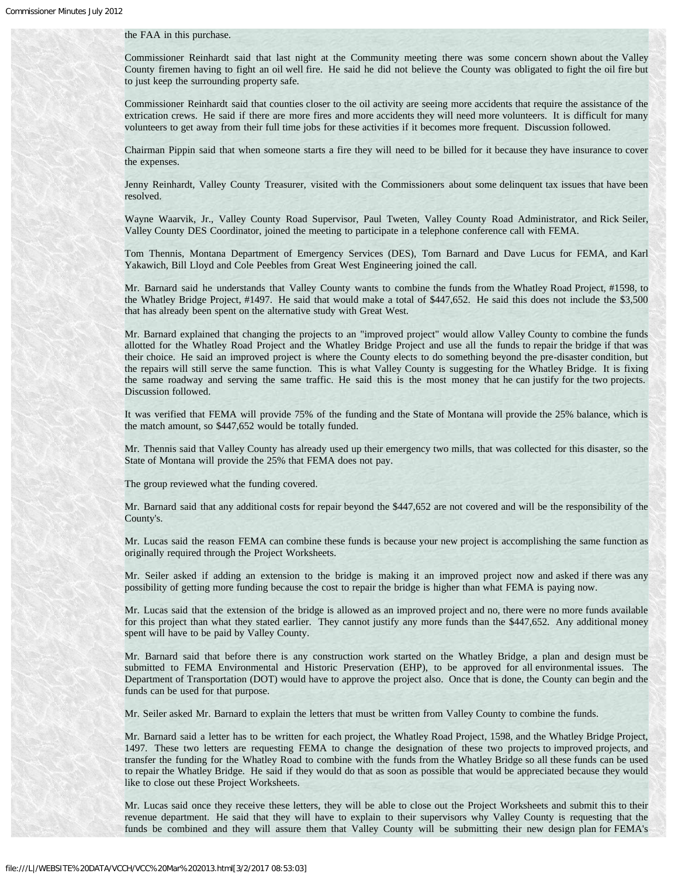### the FAA in this purchase.

Commissioner Reinhardt said that last night at the Community meeting there was some concern shown about the Valley County firemen having to fight an oil well fire. He said he did not believe the County was obligated to fight the oil fire but to just keep the surrounding property safe.

Commissioner Reinhardt said that counties closer to the oil activity are seeing more accidents that require the assistance of the extrication crews. He said if there are more fires and more accidents they will need more volunteers. It is difficult for many volunteers to get away from their full time jobs for these activities if it becomes more frequent. Discussion followed.

Chairman Pippin said that when someone starts a fire they will need to be billed for it because they have insurance to cover the expenses.

Jenny Reinhardt, Valley County Treasurer, visited with the Commissioners about some delinquent tax issues that have been resolved.

Wayne Waarvik, Jr., Valley County Road Supervisor, Paul Tweten, Valley County Road Administrator, and Rick Seiler, Valley County DES Coordinator, joined the meeting to participate in a telephone conference call with FEMA.

Tom Thennis, Montana Department of Emergency Services (DES), Tom Barnard and Dave Lucus for FEMA, and Karl Yakawich, Bill Lloyd and Cole Peebles from Great West Engineering joined the call.

Mr. Barnard said he understands that Valley County wants to combine the funds from the Whatley Road Project, #1598, to the Whatley Bridge Project, #1497. He said that would make a total of \$447,652. He said this does not include the \$3,500 that has already been spent on the alternative study with Great West.

Mr. Barnard explained that changing the projects to an "improved project" would allow Valley County to combine the funds allotted for the Whatley Road Project and the Whatley Bridge Project and use all the funds to repair the bridge if that was their choice. He said an improved project is where the County elects to do something beyond the pre-disaster condition, but the repairs will still serve the same function. This is what Valley County is suggesting for the Whatley Bridge. It is fixing the same roadway and serving the same traffic. He said this is the most money that he can justify for the two projects. Discussion followed.

It was verified that FEMA will provide 75% of the funding and the State of Montana will provide the 25% balance, which is the match amount, so \$447,652 would be totally funded.

Mr. Thennis said that Valley County has already used up their emergency two mills, that was collected for this disaster, so the State of Montana will provide the 25% that FEMA does not pay.

The group reviewed what the funding covered.

Mr. Barnard said that any additional costs for repair beyond the \$447,652 are not covered and will be the responsibility of the County's.

Mr. Lucas said the reason FEMA can combine these funds is because your new project is accomplishing the same function as originally required through the Project Worksheets.

Mr. Seiler asked if adding an extension to the bridge is making it an improved project now and asked if there was any possibility of getting more funding because the cost to repair the bridge is higher than what FEMA is paying now.

Mr. Lucas said that the extension of the bridge is allowed as an improved project and no, there were no more funds available for this project than what they stated earlier. They cannot justify any more funds than the \$447,652. Any additional money spent will have to be paid by Valley County.

Mr. Barnard said that before there is any construction work started on the Whatley Bridge, a plan and design must be submitted to FEMA Environmental and Historic Preservation (EHP), to be approved for all environmental issues. The Department of Transportation (DOT) would have to approve the project also. Once that is done, the County can begin and the funds can be used for that purpose.

Mr. Seiler asked Mr. Barnard to explain the letters that must be written from Valley County to combine the funds.

Mr. Barnard said a letter has to be written for each project, the Whatley Road Project, 1598, and the Whatley Bridge Project, 1497. These two letters are requesting FEMA to change the designation of these two projects to improved projects, and transfer the funding for the Whatley Road to combine with the funds from the Whatley Bridge so all these funds can be used to repair the Whatley Bridge. He said if they would do that as soon as possible that would be appreciated because they would like to close out these Project Worksheets.

Mr. Lucas said once they receive these letters, they will be able to close out the Project Worksheets and submit this to their revenue department. He said that they will have to explain to their supervisors why Valley County is requesting that the funds be combined and they will assure them that Valley County will be submitting their new design plan for FEMA's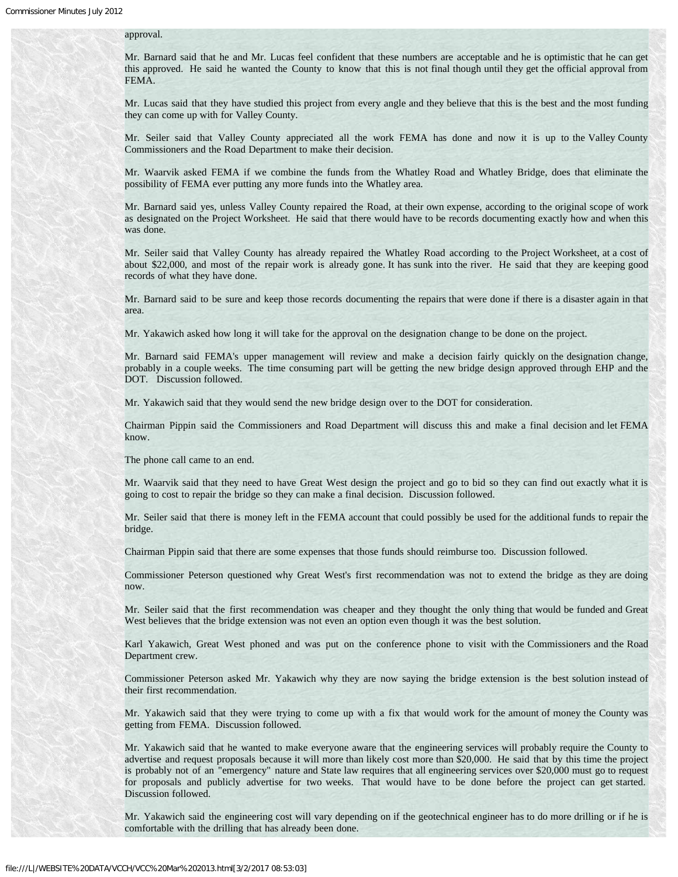## approval.

Mr. Barnard said that he and Mr. Lucas feel confident that these numbers are acceptable and he is optimistic that he can get this approved. He said he wanted the County to know that this is not final though until they get the official approval from FEMA.

Mr. Lucas said that they have studied this project from every angle and they believe that this is the best and the most funding they can come up with for Valley County.

Mr. Seiler said that Valley County appreciated all the work FEMA has done and now it is up to the Valley County Commissioners and the Road Department to make their decision.

Mr. Waarvik asked FEMA if we combine the funds from the Whatley Road and Whatley Bridge, does that eliminate the possibility of FEMA ever putting any more funds into the Whatley area.

Mr. Barnard said yes, unless Valley County repaired the Road, at their own expense, according to the original scope of work as designated on the Project Worksheet. He said that there would have to be records documenting exactly how and when this was done.

Mr. Seiler said that Valley County has already repaired the Whatley Road according to the Project Worksheet, at a cost of about \$22,000, and most of the repair work is already gone. It has sunk into the river. He said that they are keeping good records of what they have done.

Mr. Barnard said to be sure and keep those records documenting the repairs that were done if there is a disaster again in that area.

Mr. Yakawich asked how long it will take for the approval on the designation change to be done on the project.

Mr. Barnard said FEMA's upper management will review and make a decision fairly quickly on the designation change, probably in a couple weeks. The time consuming part will be getting the new bridge design approved through EHP and the DOT. Discussion followed.

Mr. Yakawich said that they would send the new bridge design over to the DOT for consideration.

Chairman Pippin said the Commissioners and Road Department will discuss this and make a final decision and let FEMA know.

The phone call came to an end.

Mr. Waarvik said that they need to have Great West design the project and go to bid so they can find out exactly what it is going to cost to repair the bridge so they can make a final decision. Discussion followed.

Mr. Seiler said that there is money left in the FEMA account that could possibly be used for the additional funds to repair the bridge.

Chairman Pippin said that there are some expenses that those funds should reimburse too. Discussion followed.

Commissioner Peterson questioned why Great West's first recommendation was not to extend the bridge as they are doing now.

Mr. Seiler said that the first recommendation was cheaper and they thought the only thing that would be funded and Great West believes that the bridge extension was not even an option even though it was the best solution.

Karl Yakawich, Great West phoned and was put on the conference phone to visit with the Commissioners and the Road Department crew.

Commissioner Peterson asked Mr. Yakawich why they are now saying the bridge extension is the best solution instead of their first recommendation.

Mr. Yakawich said that they were trying to come up with a fix that would work for the amount of money the County was getting from FEMA. Discussion followed.

Mr. Yakawich said that he wanted to make everyone aware that the engineering services will probably require the County to advertise and request proposals because it will more than likely cost more than \$20,000. He said that by this time the project is probably not of an "emergency" nature and State law requires that all engineering services over \$20,000 must go to request for proposals and publicly advertise for two weeks. That would have to be done before the project can get started. Discussion followed.

Mr. Yakawich said the engineering cost will vary depending on if the geotechnical engineer has to do more drilling or if he is comfortable with the drilling that has already been done.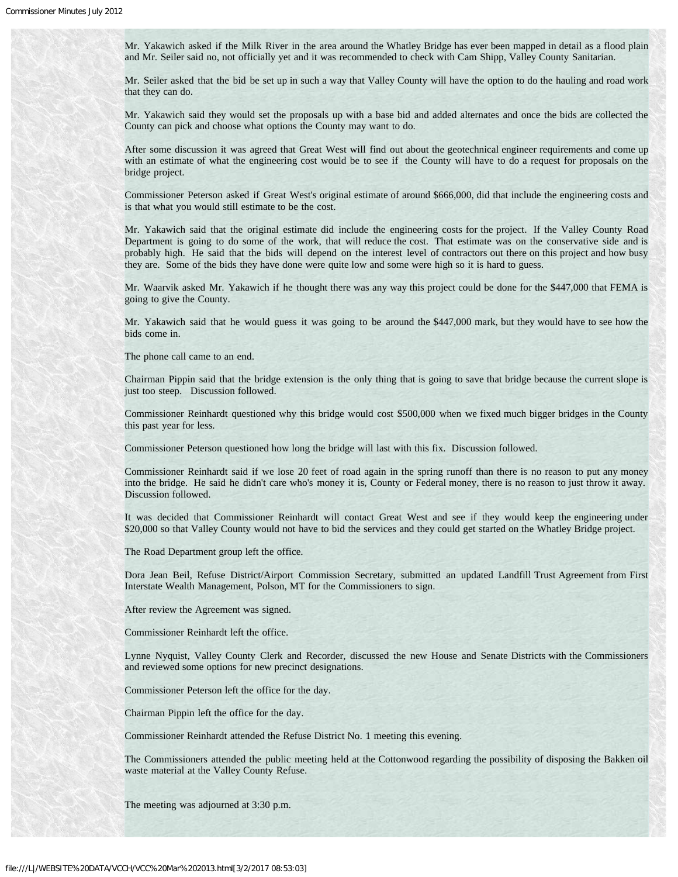Mr. Yakawich asked if the Milk River in the area around the Whatley Bridge has ever been mapped in detail as a flood plain and Mr. Seiler said no, not officially yet and it was recommended to check with Cam Shipp, Valley County Sanitarian.

Mr. Seiler asked that the bid be set up in such a way that Valley County will have the option to do the hauling and road work that they can do.

Mr. Yakawich said they would set the proposals up with a base bid and added alternates and once the bids are collected the County can pick and choose what options the County may want to do.

After some discussion it was agreed that Great West will find out about the geotechnical engineer requirements and come up with an estimate of what the engineering cost would be to see if the County will have to do a request for proposals on the bridge project.

Commissioner Peterson asked if Great West's original estimate of around \$666,000, did that include the engineering costs and is that what you would still estimate to be the cost.

Mr. Yakawich said that the original estimate did include the engineering costs for the project. If the Valley County Road Department is going to do some of the work, that will reduce the cost. That estimate was on the conservative side and is probably high. He said that the bids will depend on the interest level of contractors out there on this project and how busy they are. Some of the bids they have done were quite low and some were high so it is hard to guess.

Mr. Waarvik asked Mr. Yakawich if he thought there was any way this project could be done for the \$447,000 that FEMA is going to give the County.

Mr. Yakawich said that he would guess it was going to be around the \$447,000 mark, but they would have to see how the bids come in.

The phone call came to an end.

Chairman Pippin said that the bridge extension is the only thing that is going to save that bridge because the current slope is just too steep. Discussion followed.

Commissioner Reinhardt questioned why this bridge would cost \$500,000 when we fixed much bigger bridges in the County this past year for less.

Commissioner Peterson questioned how long the bridge will last with this fix. Discussion followed.

Commissioner Reinhardt said if we lose 20 feet of road again in the spring runoff than there is no reason to put any money into the bridge. He said he didn't care who's money it is, County or Federal money, there is no reason to just throw it away. Discussion followed.

It was decided that Commissioner Reinhardt will contact Great West and see if they would keep the engineering under \$20,000 so that Valley County would not have to bid the services and they could get started on the Whatley Bridge project.

The Road Department group left the office.

Dora Jean Beil, Refuse District/Airport Commission Secretary, submitted an updated Landfill Trust Agreement from First Interstate Wealth Management, Polson, MT for the Commissioners to sign.

After review the Agreement was signed.

Commissioner Reinhardt left the office.

Lynne Nyquist, Valley County Clerk and Recorder, discussed the new House and Senate Districts with the Commissioners and reviewed some options for new precinct designations.

Commissioner Peterson left the office for the day.

Chairman Pippin left the office for the day.

Commissioner Reinhardt attended the Refuse District No. 1 meeting this evening.

The Commissioners attended the public meeting held at the Cottonwood regarding the possibility of disposing the Bakken oil waste material at the Valley County Refuse.

The meeting was adjourned at 3:30 p.m.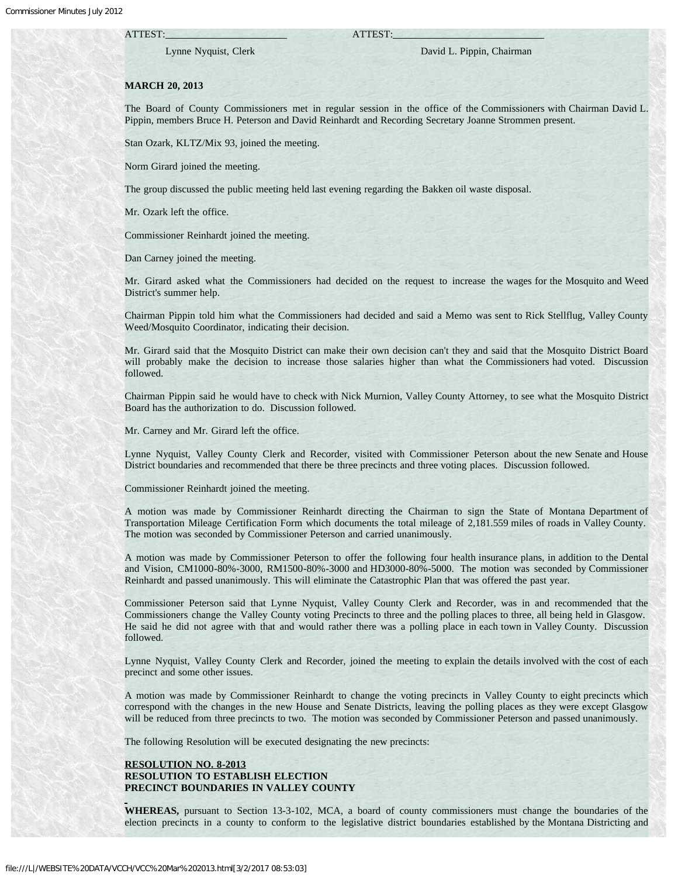#### ATTEST: ATTEST:

## Lynne Nyquist, Clerk David L. Pippin, Chairman

## **MARCH 20, 2013**

The Board of County Commissioners met in regular session in the office of the Commissioners with Chairman David L. Pippin, members Bruce H. Peterson and David Reinhardt and Recording Secretary Joanne Strommen present.

Stan Ozark, KLTZ/Mix 93, joined the meeting.

Norm Girard joined the meeting.

The group discussed the public meeting held last evening regarding the Bakken oil waste disposal.

Mr. Ozark left the office.

Commissioner Reinhardt joined the meeting.

Dan Carney joined the meeting.

Mr. Girard asked what the Commissioners had decided on the request to increase the wages for the Mosquito and Weed District's summer help.

Chairman Pippin told him what the Commissioners had decided and said a Memo was sent to Rick Stellflug, Valley County Weed/Mosquito Coordinator, indicating their decision.

Mr. Girard said that the Mosquito District can make their own decision can't they and said that the Mosquito District Board will probably make the decision to increase those salaries higher than what the Commissioners had voted. Discussion followed.

Chairman Pippin said he would have to check with Nick Murnion, Valley County Attorney, to see what the Mosquito District Board has the authorization to do. Discussion followed.

Mr. Carney and Mr. Girard left the office.

Lynne Nyquist, Valley County Clerk and Recorder, visited with Commissioner Peterson about the new Senate and House District boundaries and recommended that there be three precincts and three voting places. Discussion followed.

Commissioner Reinhardt joined the meeting.

A motion was made by Commissioner Reinhardt directing the Chairman to sign the State of Montana Department of Transportation Mileage Certification Form which documents the total mileage of 2,181.559 miles of roads in Valley County. The motion was seconded by Commissioner Peterson and carried unanimously.

A motion was made by Commissioner Peterson to offer the following four health insurance plans, in addition to the Dental and Vision, CM1000-80%-3000, RM1500-80%-3000 and HD3000-80%-5000. The motion was seconded by Commissioner Reinhardt and passed unanimously. This will eliminate the Catastrophic Plan that was offered the past year.

Commissioner Peterson said that Lynne Nyquist, Valley County Clerk and Recorder, was in and recommended that the Commissioners change the Valley County voting Precincts to three and the polling places to three, all being held in Glasgow. He said he did not agree with that and would rather there was a polling place in each town in Valley County. Discussion followed.

Lynne Nyquist, Valley County Clerk and Recorder, joined the meeting to explain the details involved with the cost of each precinct and some other issues.

A motion was made by Commissioner Reinhardt to change the voting precincts in Valley County to eight precincts which correspond with the changes in the new House and Senate Districts, leaving the polling places as they were except Glasgow will be reduced from three precincts to two. The motion was seconded by Commissioner Peterson and passed unanimously.

The following Resolution will be executed designating the new precincts:

## **RESOLUTION NO. 8-2013 RESOLUTION TO ESTABLISH ELECTION PRECINCT BOUNDARIES IN VALLEY COUNTY**

**WHEREAS,** pursuant to Section 13-3-102, MCA, a board of county commissioners must change the boundaries of the election precincts in a county to conform to the legislative district boundaries established by the Montana Districting and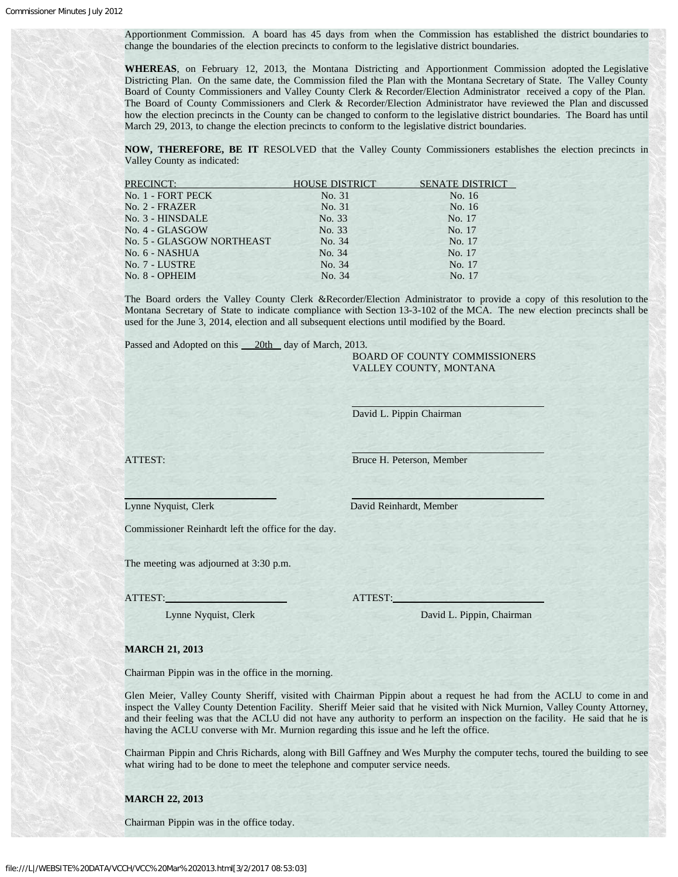Apportionment Commission. A board has 45 days from when the Commission has established the district boundaries to change the boundaries of the election precincts to conform to the legislative district boundaries.

**WHEREAS**, on February 12, 2013, the Montana Districting and Apportionment Commission adopted the Legislative Districting Plan. On the same date, the Commission filed the Plan with the Montana Secretary of State. The Valley County Board of County Commissioners and Valley County Clerk & Recorder/Election Administrator received a copy of the Plan. The Board of County Commissioners and Clerk & Recorder/Election Administrator have reviewed the Plan and discussed how the election precincts in the County can be changed to conform to the legislative district boundaries. The Board has until March 29, 2013, to change the election precincts to conform to the legislative district boundaries.

**NOW, THEREFORE, BE IT** RESOLVED that the Valley County Commissioners establishes the election precincts in Valley County as indicated:

| <b>PRECINCT:</b>          | <b>HOUSE DISTRICT</b> | <b>SENATE DISTRICT</b> |
|---------------------------|-----------------------|------------------------|
| No. 1 - FORT PECK         | No. 31                | No. 16                 |
| No. 2 - FRAZER            | No. 31                | No. 16                 |
| No. 3 - HINSDALE          | No. 33                | No. 17                 |
| No. 4 - GLASGOW           | No. 33                | No. 17                 |
| No. 5 - GLASGOW NORTHEAST | No. 34                | No. 17                 |
| No. 6 - NASHUA            | No. 34                | No. 17                 |
| No. 7 - LUSTRE            | No. 34                | No. 17                 |
| No. 8 - OPHEIM            | No. 34                | No. 17                 |

The Board orders the Valley County Clerk &Recorder/Election Administrator to provide a copy of this resolution to the Montana Secretary of State to indicate compliance with Section 13-3-102 of the MCA. The new election precincts shall be used for the June 3, 2014, election and all subsequent elections until modified by the Board.

Passed and Adopted on this 20th day of March, 2013.

 BOARD OF COUNTY COMMISSIONERS VALLEY COUNTY, MONTANA

David L. Pippin Chairman

 $\overline{a}$ 

ATTEST: Bruce H. Peterson, Member

Lynne Nyquist, Clerk David Reinhardt, Member

Commissioner Reinhardt left the office for the day.

The meeting was adjourned at 3:30 p.m.

ATTEST: ATTEST:

Lynne Nyquist, Clerk David L. Pippin, Chairman

#### **MARCH 21, 2013**

Chairman Pippin was in the office in the morning.

Glen Meier, Valley County Sheriff, visited with Chairman Pippin about a request he had from the ACLU to come in and inspect the Valley County Detention Facility. Sheriff Meier said that he visited with Nick Murnion, Valley County Attorney, and their feeling was that the ACLU did not have any authority to perform an inspection on the facility. He said that he is having the ACLU converse with Mr. Murnion regarding this issue and he left the office.

Chairman Pippin and Chris Richards, along with Bill Gaffney and Wes Murphy the computer techs, toured the building to see what wiring had to be done to meet the telephone and computer service needs.

**MARCH 22, 2013**

Chairman Pippin was in the office today.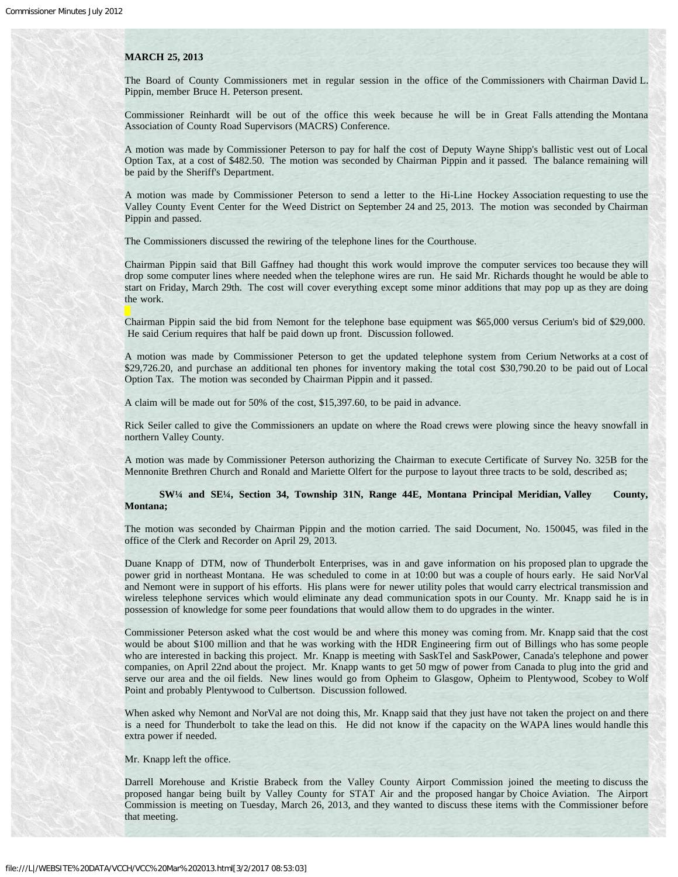#### **MARCH 25, 2013**

The Board of County Commissioners met in regular session in the office of the Commissioners with Chairman David L. Pippin, member Bruce H. Peterson present.

Commissioner Reinhardt will be out of the office this week because he will be in Great Falls attending the Montana Association of County Road Supervisors (MACRS) Conference.

A motion was made by Commissioner Peterson to pay for half the cost of Deputy Wayne Shipp's ballistic vest out of Local Option Tax, at a cost of \$482.50. The motion was seconded by Chairman Pippin and it passed. The balance remaining will be paid by the Sheriff's Department.

A motion was made by Commissioner Peterson to send a letter to the Hi-Line Hockey Association requesting to use the Valley County Event Center for the Weed District on September 24 and 25, 2013. The motion was seconded by Chairman Pippin and passed.

The Commissioners discussed the rewiring of the telephone lines for the Courthouse.

Chairman Pippin said that Bill Gaffney had thought this work would improve the computer services too because they will drop some computer lines where needed when the telephone wires are run. He said Mr. Richards thought he would be able to start on Friday, March 29th. The cost will cover everything except some minor additions that may pop up as they are doing the work.

Chairman Pippin said the bid from Nemont for the telephone base equipment was \$65,000 versus Cerium's bid of \$29,000. He said Cerium requires that half be paid down up front. Discussion followed.

A motion was made by Commissioner Peterson to get the updated telephone system from Cerium Networks at a cost of \$29,726.20, and purchase an additional ten phones for inventory making the total cost \$30,790.20 to be paid out of Local Option Tax. The motion was seconded by Chairman Pippin and it passed.

A claim will be made out for 50% of the cost, \$15,397.60, to be paid in advance.

Rick Seiler called to give the Commissioners an update on where the Road crews were plowing since the heavy snowfall in northern Valley County.

A motion was made by Commissioner Peterson authorizing the Chairman to execute Certificate of Survey No. 325B for the Mennonite Brethren Church and Ronald and Mariette Olfert for the purpose to layout three tracts to be sold, described as;

 **SW¼ and SE¼, Section 34, Township 31N, Range 44E, Montana Principal Meridian, Valley County, Montana;**

The motion was seconded by Chairman Pippin and the motion carried. The said Document, No. 150045, was filed in the office of the Clerk and Recorder on April 29, 2013.

Duane Knapp of DTM, now of Thunderbolt Enterprises, was in and gave information on his proposed plan to upgrade the power grid in northeast Montana. He was scheduled to come in at 10:00 but was a couple of hours early. He said NorVal and Nemont were in support of his efforts. His plans were for newer utility poles that would carry electrical transmission and wireless telephone services which would eliminate any dead communication spots in our County. Mr. Knapp said he is in possession of knowledge for some peer foundations that would allow them to do upgrades in the winter.

Commissioner Peterson asked what the cost would be and where this money was coming from. Mr. Knapp said that the cost would be about \$100 million and that he was working with the HDR Engineering firm out of Billings who has some people who are interested in backing this project. Mr. Knapp is meeting with SaskTel and SaskPower, Canada's telephone and power companies, on April 22nd about the project. Mr. Knapp wants to get 50 mgw of power from Canada to plug into the grid and serve our area and the oil fields. New lines would go from Opheim to Glasgow, Opheim to Plentywood, Scobey to Wolf Point and probably Plentywood to Culbertson. Discussion followed.

When asked why Nemont and NorVal are not doing this, Mr. Knapp said that they just have not taken the project on and there is a need for Thunderbolt to take the lead on this. He did not know if the capacity on the WAPA lines would handle this extra power if needed.

Mr. Knapp left the office.

Darrell Morehouse and Kristie Brabeck from the Valley County Airport Commission joined the meeting to discuss the proposed hangar being built by Valley County for STAT Air and the proposed hangar by Choice Aviation. The Airport Commission is meeting on Tuesday, March 26, 2013, and they wanted to discuss these items with the Commissioner before that meeting.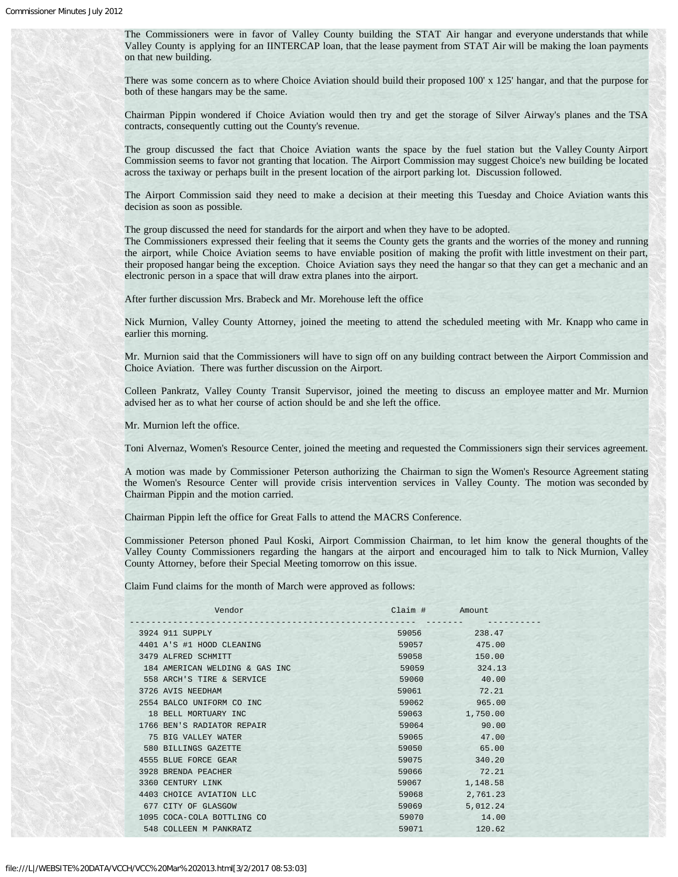The Commissioners were in favor of Valley County building the STAT Air hangar and everyone understands that while Valley County is applying for an IINTERCAP loan, that the lease payment from STAT Air will be making the loan payments on that new building.

There was some concern as to where Choice Aviation should build their proposed 100' x 125' hangar, and that the purpose for both of these hangars may be the same.

Chairman Pippin wondered if Choice Aviation would then try and get the storage of Silver Airway's planes and the TSA contracts, consequently cutting out the County's revenue.

The group discussed the fact that Choice Aviation wants the space by the fuel station but the Valley County Airport Commission seems to favor not granting that location. The Airport Commission may suggest Choice's new building be located across the taxiway or perhaps built in the present location of the airport parking lot. Discussion followed.

The Airport Commission said they need to make a decision at their meeting this Tuesday and Choice Aviation wants this decision as soon as possible.

The group discussed the need for standards for the airport and when they have to be adopted.

The Commissioners expressed their feeling that it seems the County gets the grants and the worries of the money and running the airport, while Choice Aviation seems to have enviable position of making the profit with little investment on their part, their proposed hangar being the exception. Choice Aviation says they need the hangar so that they can get a mechanic and an electronic person in a space that will draw extra planes into the airport.

After further discussion Mrs. Brabeck and Mr. Morehouse left the office

Nick Murnion, Valley County Attorney, joined the meeting to attend the scheduled meeting with Mr. Knapp who came in earlier this morning.

Mr. Murnion said that the Commissioners will have to sign off on any building contract between the Airport Commission and Choice Aviation. There was further discussion on the Airport.

Colleen Pankratz, Valley County Transit Supervisor, joined the meeting to discuss an employee matter and Mr. Murnion advised her as to what her course of action should be and she left the office.

Mr. Murnion left the office.

Toni Alvernaz, Women's Resource Center, joined the meeting and requested the Commissioners sign their services agreement.

A motion was made by Commissioner Peterson authorizing the Chairman to sign the Women's Resource Agreement stating the Women's Resource Center will provide crisis intervention services in Valley County. The motion was seconded by Chairman Pippin and the motion carried.

Chairman Pippin left the office for Great Falls to attend the MACRS Conference.

Commissioner Peterson phoned Paul Koski, Airport Commission Chairman, to let him know the general thoughts of the Valley County Commissioners regarding the hangars at the airport and encouraged him to talk to Nick Murnion, Valley County Attorney, before their Special Meeting tomorrow on this issue.

Claim Fund claims for the month of March were approved as follows:

| Vendor                         | Claim # Amount |          |
|--------------------------------|----------------|----------|
| 3924 911 SUPPLY                | 59056          | 238.47   |
| 4401 A'S #1 HOOD CLEANING      | 59057          | 475.00   |
| 3479 ALFRED SCHMITT            | 59058          | 150.00   |
| 184 AMERICAN WELDING & GAS INC | 59059          | 324.13   |
| 558 ARCH'S TIRE & SERVICE      | 59060          | 40.00    |
| 3726 AVIS NEEDHAM              | 59061          | 72.21    |
| 2554 BALCO UNIFORM CO INC      | 59062          | 965.00   |
| 18 BELL MORTUARY INC.          | 59063          | 1,750.00 |
| 1766 BEN'S RADIATOR REPAIR     | 59064          | 90.00    |
| 75 BIG VALLEY WATER            | 59065          | 47.00    |
| 580 BILLINGS GAZETTE           | 59050          | 65.00    |
| 4555 BLUE FORCE GEAR           | 59075          | 340.20   |
| 3928 BRENDA PEACHER            | 59066          | 72.21    |
| 3360 CENTURY LINK              | 59067          | 1,148.58 |
| 4403 CHOICE AVIATION LLC       | 59068          | 2,761.23 |
| 677 CITY OF GLASGOW            | 59069          | 5,012.24 |
| 1095 COCA-COLA BOTTLING CO     | 59070          | 14.00    |
| 548 COLLEEN M PANKRATZ         | 59071          | 120.62   |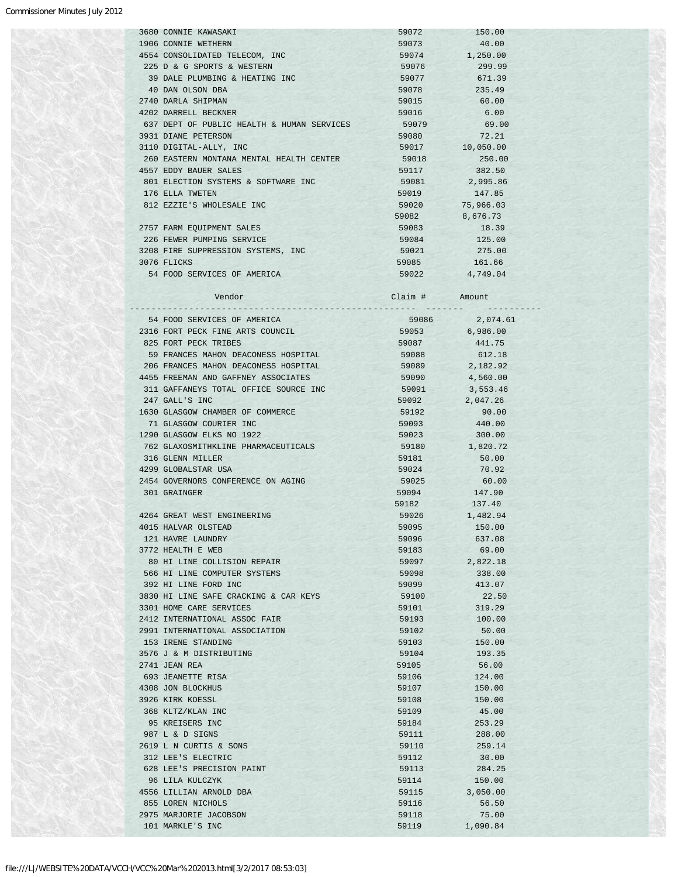|  | <b>3680 CONNIE KAWASAKI</b>                | 59072 | 150.00    |
|--|--------------------------------------------|-------|-----------|
|  | 1906 CONNIE WETHERN                        | 59073 | 40.00     |
|  | 4554 CONSOLIDATED TELECOM, INC             | 59074 | 1,250.00  |
|  | 225 D & G SPORTS & WESTERN                 | 59076 | 299.99    |
|  | 39 DALE PLUMBING & HEATING INC             | 59077 | 671.39    |
|  | 40 DAN OLSON DBA                           | 59078 | 235.49    |
|  | 2740 DARLA SHIPMAN                         | 59015 | 60.00     |
|  | 4202 DARRELL BECKNER                       | 59016 | 6.00      |
|  | 637 DEPT OF PUBLIC HEALTH & HUMAN SERVICES | 59079 | 69.00     |
|  | 3931 DIANE PETERSON                        | 59080 | 72.21     |
|  | 3110 DIGITAL-ALLY, INC                     | 59017 | 10,050.00 |
|  | 260 EASTERN MONTANA MENTAL HEALTH CENTER   | 59018 | 250.00    |
|  | 4557 EDDY BAUER SALES                      | 59117 | 382.50    |
|  | 801 ELECTION SYSTEMS & SOFTWARE INC        | 59081 | 2,995.86  |
|  | 176 ELLA TWETEN                            | 59019 | 147.85    |
|  | 812 EZZIE'S WHOLESALE INC                  | 59020 | 75,966.03 |
|  |                                            | 59082 | 8,676.73  |
|  | 2757 FARM EQUIPMENT SALES                  | 59083 | 18.39     |
|  | 226 FEWER PUMPING SERVICE                  | 59084 | 125.00    |
|  | 3208 FIRE SUPPRESSION SYSTEMS, INC.        | 59021 | 275.00    |
|  | 3076 FLICKS                                | 59085 | 161.66    |
|  | 54 FOOD SERVICES OF AMERICA                | 59022 | 4,749.04  |
|  |                                            |       |           |

| Vendor                                     | Claim #         | Amount         |  |
|--------------------------------------------|-----------------|----------------|--|
| 54 FOOD SERVICES OF AMERICA                | $- - - - - - -$ | 59086 2,074.61 |  |
| 2316 FORT PECK FINE ARTS COUNCIL           | 59053           | 6,986.00       |  |
| 825 FORT PECK TRIBES                       | 59087           | 441.75         |  |
| 59 FRANCES MAHON DEACONESS HOSPITAL        | 59088           | 612.18         |  |
| 206 FRANCES MAHON DEACONESS HOSPITAL       | 59089           | 2,182.92       |  |
| 4455 FREEMAN AND GAFFNEY ASSOCIATES        | 59090           | 4,560.00       |  |
| 311 GAFFANEYS TOTAL OFFICE SOURCE INC      | 59091           | 3,553.46       |  |
| 247 GALL'S INC                             | 59092           | 2,047.26       |  |
| 1630 GLASGOW CHAMBER OF COMMERCE           | 59192           | 90.00          |  |
| 71 GLASGOW COURIER INC                     | 59093           | 440.00         |  |
| 1290 GLASGOW ELKS NO 1922                  | 59023           | 300.00         |  |
| 762 GLAXOSMITHKLINE PHARMACEUTICALS        | 59180           | 1,820.72       |  |
| 316 GLENN MILLER                           | 59181           | 50.00          |  |
| 4299 GLOBALSTAR USA                        | 59024           | 70.92          |  |
| 2454 GOVERNORS CONFERENCE ON AGING         | 59025           | 60.00          |  |
| 301 GRAINGER                               | 59094           | 147.90         |  |
|                                            | 59182           | 137.40         |  |
| 4264 GREAT WEST ENGINEERING                | 59026           | 1,482.94       |  |
| 4015 HALVAR OLSTEAD                        | 59095           | 150.00         |  |
| 121 HAVRE LAUNDRY                          | 59096           | 637.08         |  |
| 3772 HEALTH E WEB                          | 59183           | 69.00          |  |
| 80 HI LINE COLLISION REPAIR                | 59097           | 2,822.18       |  |
| 566 HI LINE COMPUTER SYSTEMS               | 59098           | 338.00         |  |
| 392 HI LINE FORD INC                       | 59099           | 413.07         |  |
| 3830 HI LINE SAFE CRACKING & CAR KEYS      | 59100           | 22.50          |  |
| 3301 HOME CARE SERVICES                    | 59101           | 319.29         |  |
| 2412 INTERNATIONAL ASSOC FAIR              | 59193           | 100.00         |  |
| 2991 INTERNATIONAL ASSOCIATION             | 59102           | 50.00          |  |
| 153 IRENE STANDING                         | 59103           | 150.00         |  |
| 3576 J & M DISTRIBUTING                    | 59104           | 193.35         |  |
| 2741 JEAN REA                              | 59105           | 56.00          |  |
| 693 JEANETTE RISA                          | 59106           | 124.00         |  |
| 4308 JON BLOCKHUS                          | 59107           | 150.00         |  |
| 3926 KIRK KOESSL                           | 59108           | 150.00         |  |
| 368 KLTZ/KLAN INC                          | 59109           | 45.00          |  |
| 95 KREISERS INC                            | 59184           | 253.29         |  |
| 987 L & D SIGNS                            | 59111           | 288.00         |  |
| 2619 L N CURTIS & SONS                     | 59110           | 259.14         |  |
| 312 LEE'S ELECTRIC                         | 59112           | 30.00          |  |
| 628 LEE'S PRECISION PAINT                  | 59113           | 284.25         |  |
| 96 LILA KULCZYK                            | 59114           | 150.00         |  |
| 4556 LILLIAN ARNOLD DBA                    | 59115           | 3,050.00       |  |
| 855 LOREN NICHOLS                          | 59116           | 56.50          |  |
| 2975 MARJORIE JACOBSON<br>101 MARKLE'S INC | 59118<br>59119  | 75.00          |  |
|                                            |                 | 1,090.84       |  |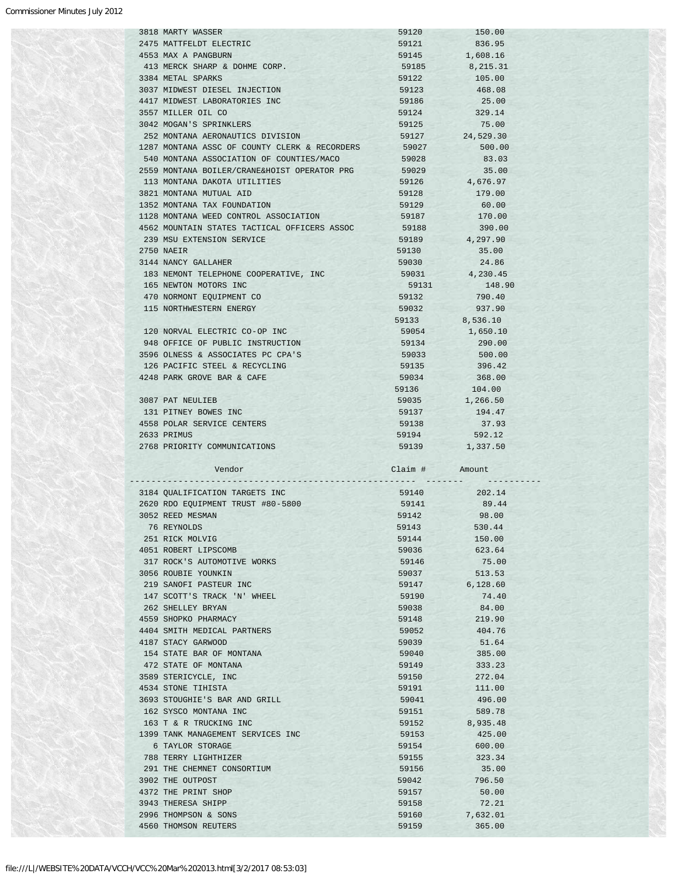| 3818 MARTY WASSER                             | 59120          | 150.00                  |
|-----------------------------------------------|----------------|-------------------------|
| 2475 MATTFELDT ELECTRIC                       | 59121          | 836.95                  |
|                                               |                |                         |
| 4553 MAX A PANGBURN                           | 59145          | 1,608.16                |
| 413 MERCK SHARP & DOHME CORP.                 | 59185          | 8,215.31                |
| 3384 METAL SPARKS                             | 59122          | 105.00                  |
| 3037 MIDWEST DIESEL INJECTION                 | 59123          | 468.08                  |
| 4417 MIDWEST LABORATORIES INC                 | 59186          | 25.00                   |
|                                               |                |                         |
| 3557 MILLER OIL CO                            | 59124          | 329.14                  |
| 3042 MOGAN'S SPRINKLERS                       | 59125          | 75.00                   |
| 252 MONTANA AERONAUTICS DIVISION              | 59127          | 24,529.30               |
| 1287 MONTANA ASSC OF COUNTY CLERK & RECORDERS | 59027          | 500.00                  |
| 540 MONTANA ASSOCIATION OF COUNTIES/MACO      | 59028          | 83.03                   |
|                                               |                |                         |
| 2559 MONTANA BOILER/CRANE&HOIST OPERATOR PRG  | 59029          | 35.00                   |
| 113 MONTANA DAKOTA UTILITIES                  | 59126          | 4,676.97                |
| 3821 MONTANA MUTUAL AID                       | 59128          | 179.00                  |
| 1352 MONTANA TAX FOUNDATION                   | 59129          | 60.00                   |
| 1128 MONTANA WEED CONTROL ASSOCIATION         | 59187          | 170.00                  |
|                                               |                |                         |
| 4562 MOUNTAIN STATES TACTICAL OFFICERS ASSOC  | 59188          | 390.00                  |
| 239 MSU EXTENSION SERVICE                     | 59189          | 4,297.90                |
| 2750 NAEIR                                    | 59130          | 35.00                   |
| 3144 NANCY GALLAHER                           | 59030          | 24.86                   |
| 183 NEMONT TELEPHONE COOPERATIVE, INC         | 59031          | 4,230.45                |
|                                               |                |                         |
| 165 NEWTON MOTORS INC                         | 59131          | 148.90                  |
| 470 NORMONT EOUIPMENT CO                      | 59132          | 790.40                  |
| 115 NORTHWESTERN ENERGY                       | 59032          | 937.90                  |
|                                               |                | 59133 8,536.10          |
|                                               |                |                         |
| 120 NORVAL ELECTRIC CO-OP INC                 |                | 59054 1,650.10          |
| 948 OFFICE OF PUBLIC INSTRUCTION              | 59134          | 290.00                  |
| 3596 OLNESS & ASSOCIATES PC CPA'S             | 59033          | 500.00                  |
| 126 PACIFIC STEEL & RECYCLING                 | 59135          | 396.42                  |
| 4248 PARK GROVE BAR & CAFE                    | 59034          | 368.00                  |
|                                               |                |                         |
|                                               | 59136          | 104.00                  |
| 3087 PAT NEULIEB                              | 59035          | 1,266.50                |
| 131 PITNEY BOWES INC                          |                | 59137 194.47            |
| 4558 POLAR SERVICE CENTERS                    | 59138          | 37.93                   |
|                                               |                |                         |
|                                               |                |                         |
| 2633 PRIMUS                                   | 59194          | 592.12                  |
| 2768 PRIORITY COMMUNICATIONS                  | 59139          | 1,337.50                |
|                                               |                |                         |
| Vendor                                        | Claim # Amount |                         |
|                                               |                |                         |
|                                               |                |                         |
| 3184 QUALIFICATION TARGETS INC                |                | 59140 202.14            |
| 2620 RDO EQUIPMENT TRUST #80-5800             |                | 59141 89.44             |
| 3052 REED MESMAN                              | 59142          | 98.00                   |
| 76 REYNOLDS                                   | 59143          | 530.44                  |
| 251 RICK MOLVIG                               |                |                         |
|                                               | 59144          | 150.00                  |
| 4051 ROBERT LIPSCOMB                          | 59036          | 623.64                  |
| 317 ROCK'S AUTOMOTIVE WORKS                   | 59146          | 75.00                   |
| 3056 ROUBIE YOUNKIN                           | 59037          | 513.53                  |
| 219 SANOFI PASTEUR INC                        | 59147          | <b>STAR</b><br>6,128.60 |
| 147 SCOTT'S TRACK 'N' WHEEL                   |                |                         |
|                                               | 59190          | 74.40                   |
| 262 SHELLEY BRYAN                             | 59038          | 84.00                   |
| 4559 SHOPKO PHARMACY                          | 59148          | 219.90                  |
| 4404 SMITH MEDICAL PARTNERS                   | 59052          | 404.76                  |
| 4187 STACY GARWOOD                            | 59039          | 51.64                   |
|                                               |                |                         |
| 154 STATE BAR OF MONTANA                      | 59040          | 385.00                  |
| 472 STATE OF MONTANA                          | 59149          | 333.23                  |
| 3589 STERICYCLE, INC                          | 59150          | 272.04                  |
| 4534 STONE TIHISTA                            | 59191          | 111.00                  |
| 3693 STOUGHIE'S BAR AND GRILL                 | 59041          | 496.00                  |
|                                               |                |                         |
| 162 SYSCO MONTANA INC                         | 59151          | 589.78                  |
| 163 T & R TRUCKING INC                        | 59152          | 8,935.48                |
| 1399 TANK MANAGEMENT SERVICES INC             | 59153          | 425.00                  |
| 6 TAYLOR STORAGE                              | 59154          | 600.00                  |
|                                               |                |                         |
| 788 TERRY LIGHTHIZER                          | 59155          | 323.34                  |
| 291 THE CHEMNET CONSORTIUM                    | 59156          | 35.00                   |
| 3902 THE OUTPOST                              | 59042          | 796.50                  |
| 4372 THE PRINT SHOP                           | 59157          | 50.00                   |
| 3943 THERESA SHIPP                            | 59158          | 72.21                   |
|                                               |                |                         |
| 2996 THOMPSON & SONS<br>4560 THOMSON REUTERS  | 59160<br>59159 | 7,632.01<br>365.00      |